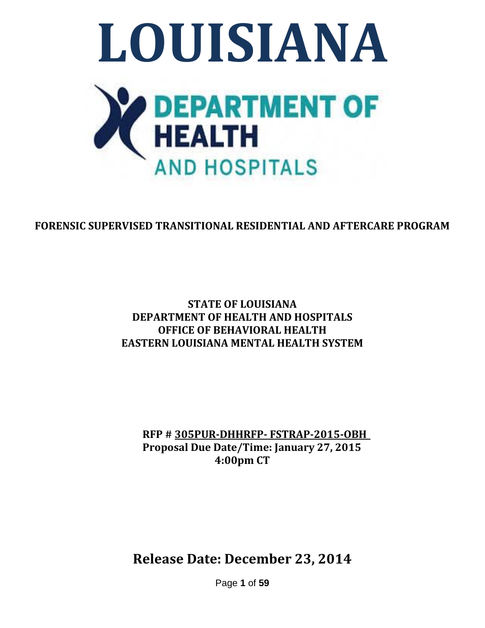

# **FORENSIC SUPERVISED TRANSITIONAL RESIDENTIAL AND AFTERCARE PROGRAM**

### **STATE OF LOUISIANA DEPARTMENT OF HEALTH AND HOSPITALS OFFICE OF BEHAVIORAL HEALTH EASTERN LOUISIANA MENTAL HEALTH SYSTEM**

**RFP # 305PUR-DHHRFP- FSTRAP-2015-OBH Proposal Due Date/Time: January 27, 2015 4:00pm CT**

**Release Date: December 23, 2014**

Page **1** of **59**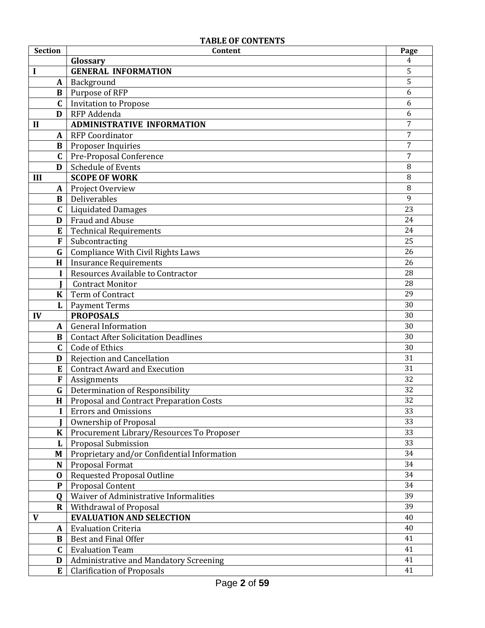#### **TABLE OF CONTENTS**

| <b>Section</b> | Content                                            | Page           |
|----------------|----------------------------------------------------|----------------|
|                | Glossary                                           | 4              |
| I              | <b>GENERAL INFORMATION</b>                         | 5              |
| A              | Background                                         | 5              |
| $\bf{B}$       | Purpose of RFP                                     | 6              |
| $\mathbf{C}$   | <b>Invitation to Propose</b>                       | 6              |
| D              | RFP Addenda                                        | 6              |
| $\mathbf{I}$   | <b>ADMINISTRATIVE INFORMATION</b>                  | $\overline{7}$ |
| $\mathbf{A}$   | <b>RFP Coordinator</b>                             | $\overline{7}$ |
| B              | Proposer Inquiries                                 | $\overline{7}$ |
| $\mathbf{C}$   | Pre-Proposal Conference                            | $\overline{7}$ |
| D              | Schedule of Events                                 | 8              |
| III            | <b>SCOPE OF WORK</b>                               | 8              |
| A              | Project Overview                                   | 8              |
| $\bf{B}$       | Deliverables                                       | 9              |
| $\mathbf C$    | <b>Liquidated Damages</b>                          | 23             |
| D              | Fraud and Abuse                                    | 24             |
| E              | <b>Technical Requirements</b>                      | 24             |
| F              | Subcontracting                                     | 25             |
| G              | Compliance With Civil Rights Laws                  | 26             |
| H              | <b>Insurance Requirements</b>                      | 26             |
| $\mathbf{I}$   | Resources Available to Contractor                  | 28             |
|                | <b>Contract Monitor</b>                            | 28             |
| $\bf K$        | Term of Contract                                   | 29             |
| L              | <b>Payment Terms</b>                               | 30             |
| IV             | <b>PROPOSALS</b>                                   | 30             |
| A              | <b>General Information</b>                         | 30             |
| B              | <b>Contact After Solicitation Deadlines</b>        | 30             |
| $\mathbf{C}$   | Code of Ethics                                     | 30             |
| D              | Rejection and Cancellation                         | 31             |
| E              | <b>Contract Award and Execution</b>                | 31             |
| F              | Assignments                                        | 32             |
| G              | Determination of Responsibility                    | 32             |
|                | <b>H</b>   Proposal and Contract Preparation Costs | 32             |
| $\mathbf{I}$   | <b>Errors and Omissions</b>                        | 33             |
|                | Ownership of Proposal                              | 33             |
| $\bf K$        | Procurement Library/Resources To Proposer          | 33             |
| L              | Proposal Submission                                | 33             |
| M              | Proprietary and/or Confidential Information        | 34             |
| N              | Proposal Format                                    | 34             |
| $\bf{0}$       | <b>Requested Proposal Outline</b>                  | 34             |
| ${\bf P}$      | Proposal Content                                   | 34             |
| Q              | Waiver of Administrative Informalities             | 39             |
| $\bf R$        | Withdrawal of Proposal                             | 39             |
| $\mathbf{V}$   | <b>EVALUATION AND SELECTION</b>                    | 40             |
| A              | <b>Evaluation Criteria</b>                         | 40             |
| B              | Best and Final Offer                               | 41             |
| $\mathbf{C}$   | <b>Evaluation Team</b>                             | 41             |
| D              | Administrative and Mandatory Screening             | 41             |
| E              | <b>Clarification of Proposals</b>                  | 41             |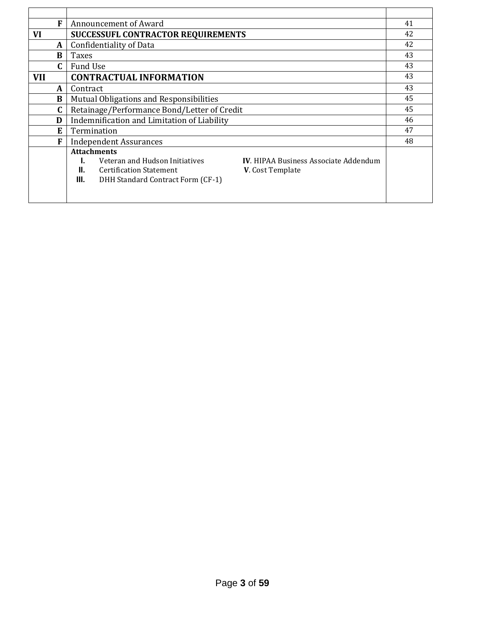| F            | Announcement of Award                       |                                         |                                              | 41 |
|--------------|---------------------------------------------|-----------------------------------------|----------------------------------------------|----|
| VI           | SUCCESSUFL CONTRACTOR REQUIREMENTS          |                                         |                                              | 42 |
| A            |                                             | <b>Confidentiality of Data</b>          |                                              | 42 |
| <sub>B</sub> | Taxes                                       |                                         |                                              | 43 |
| C.           | <b>Fund Use</b>                             |                                         |                                              | 43 |
| <b>VII</b>   |                                             | <b>CONTRACTUAL INFORMATION</b>          |                                              | 43 |
| A            | Contract                                    |                                         |                                              | 43 |
| B            |                                             | Mutual Obligations and Responsibilities |                                              | 45 |
|              | Retainage/Performance Bond/Letter of Credit |                                         |                                              | 45 |
| D            | Indemnification and Limitation of Liability |                                         |                                              | 46 |
| E.           | Termination                                 |                                         |                                              | 47 |
| F            | <b>Independent Assurances</b>               |                                         | 48                                           |    |
|              | <b>Attachments</b>                          |                                         |                                              |    |
|              |                                             | Veteran and Hudson Initiatives          | <b>IV.</b> HIPAA Business Associate Addendum |    |
|              | Ш.                                          | <b>Certification Statement</b>          | <b>V.</b> Cost Template                      |    |
|              | III.                                        | DHH Standard Contract Form (CF-1)       |                                              |    |
|              |                                             |                                         |                                              |    |
|              |                                             |                                         |                                              |    |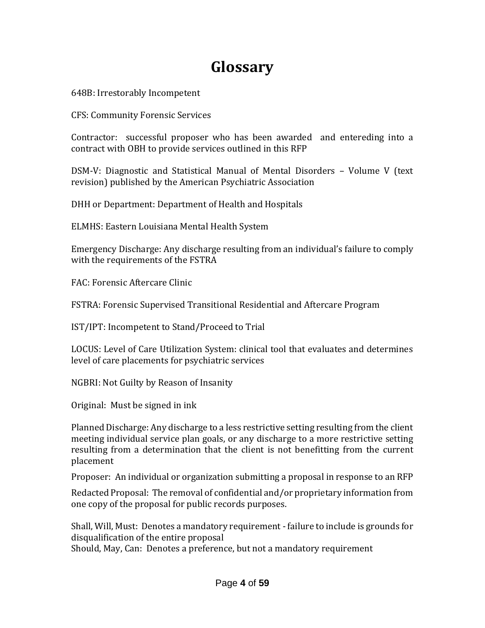# **Glossary**

648B: Irrestorably Incompetent

CFS: Community Forensic Services

Contractor: successful proposer who has been awarded and entereding into a contract with OBH to provide services outlined in this RFP

DSM-V: Diagnostic and Statistical Manual of Mental Disorders – Volume V (text revision) published by the American Psychiatric Association

DHH or Department: Department of Health and Hospitals

ELMHS: Eastern Louisiana Mental Health System

Emergency Discharge: Any discharge resulting from an individual's failure to comply with the requirements of the FSTRA

FAC: Forensic Aftercare Clinic

FSTRA: Forensic Supervised Transitional Residential and Aftercare Program

IST/IPT: Incompetent to Stand/Proceed to Trial

LOCUS: Level of Care Utilization System: clinical tool that evaluates and determines level of care placements for psychiatric services

NGBRI: Not Guilty by Reason of Insanity

Original: Must be signed in ink

Planned Discharge: Any discharge to a less restrictive setting resulting from the client meeting individual service plan goals, or any discharge to a more restrictive setting resulting from a determination that the client is not benefitting from the current placement

Proposer: An individual or organization submitting a proposal in response to an RFP

Redacted Proposal: The removal of confidential and/or proprietary information from one copy of the proposal for public records purposes.

Shall, Will, Must: Denotes a mandatory requirement - failure to include is grounds for disqualification of the entire proposal

Should, May, Can: Denotes a preference, but not a mandatory requirement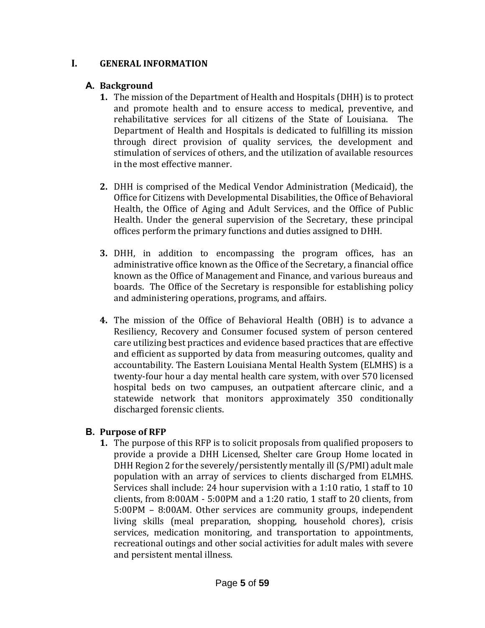#### **I. GENERAL INFORMATION**

#### **A. Background**

- **1.** The mission of the Department of Health and Hospitals (DHH) is to protect and promote health and to ensure access to medical, preventive, and rehabilitative services for all citizens of the State of Louisiana. The Department of Health and Hospitals is dedicated to fulfilling its mission through direct provision of quality services, the development and stimulation of services of others, and the utilization of available resources in the most effective manner.
- **2.** DHH is comprised of the Medical Vendor Administration (Medicaid), the Office for Citizens with Developmental Disabilities, the Office of Behavioral Health, the Office of Aging and Adult Services, and the Office of Public Health. Under the general supervision of the Secretary, these principal offices perform the primary functions and duties assigned to DHH.
- **3.** DHH, in addition to encompassing the program offices, has an administrative office known as the Office of the Secretary, a financial office known as the Office of Management and Finance, and various bureaus and boards. The Office of the Secretary is responsible for establishing policy and administering operations, programs, and affairs.
- **4.** The mission of the Office of Behavioral Health (OBH) is to advance a Resiliency, Recovery and Consumer focused system of person centered care utilizing best practices and evidence based practices that are effective and efficient as supported by data from measuring outcomes, quality and accountability. The Eastern Louisiana Mental Health System (ELMHS) is a twenty-four hour a day mental health care system, with over 570 licensed hospital beds on two campuses, an outpatient aftercare clinic, and a statewide network that monitors approximately 350 conditionally discharged forensic clients.

#### **B. Purpose of RFP**

**1.** The purpose of this RFP is to solicit proposals from qualified proposers to provide a provide a DHH Licensed, Shelter care Group Home located in DHH Region 2 for the severely/persistently mentally ill (S/PMI) adult male population with an array of services to clients discharged from ELMHS. Services shall include: 24 hour supervision with a 1:10 ratio, 1 staff to 10 clients, from 8:00AM - 5:00PM and a 1:20 ratio, 1 staff to 20 clients, from 5:00PM – 8:00AM. Other services are community groups, independent living skills (meal preparation, shopping, household chores), crisis services, medication monitoring, and transportation to appointments, recreational outings and other social activities for adult males with severe and persistent mental illness.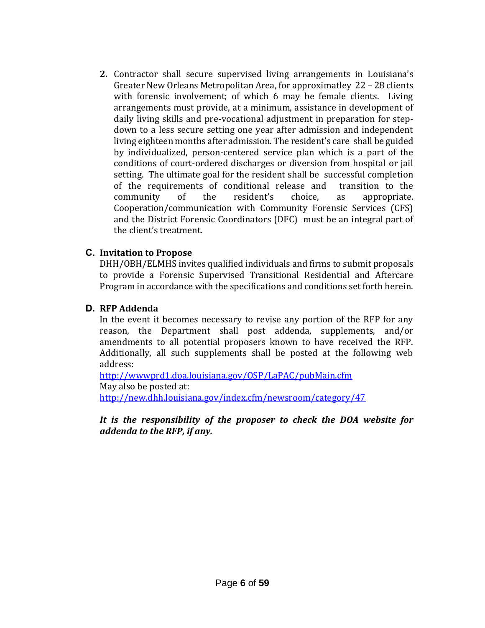**2.** Contractor shall secure supervised living arrangements in Louisiana's Greater New Orleans Metropolitan Area, for approximatley 22 – 28 clients with forensic involvement; of which 6 may be female clients. Living arrangements must provide, at a minimum, assistance in development of daily living skills and pre-vocational adjustment in preparation for stepdown to a less secure setting one year after admission and independent living eighteen months after admission. The resident's care shall be guided by individualized, person-centered service plan which is a part of the conditions of court-ordered discharges or diversion from hospital or jail setting. The ultimate goal for the resident shall be successful completion of the requirements of conditional release and transition to the community of the resident's choice, as appropriate. Cooperation/communication with Community Forensic Services (CFS) and the District Forensic Coordinators (DFC) must be an integral part of the client's treatment.

#### **C. Invitation to Propose**

DHH/OBH/ELMHS invites qualified individuals and firms to submit proposals to provide a Forensic Supervised Transitional Residential and Aftercare Program in accordance with the specifications and conditions set forth herein.

#### **D. RFP Addenda**

In the event it becomes necessary to revise any portion of the RFP for any reason, the Department shall post addenda, supplements, and/or amendments to all potential proposers known to have received the RFP. Additionally, all such supplements shall be posted at the following web address:

<http://wwwprd1.doa.louisiana.gov/OSP/LaPAC/pubMain.cfm> May also be posted at: <http://new.dhh.louisiana.gov/index.cfm/newsroom/category/47>

#### *It is the responsibility of the proposer to check the DOA website for addenda to the RFP, if any.*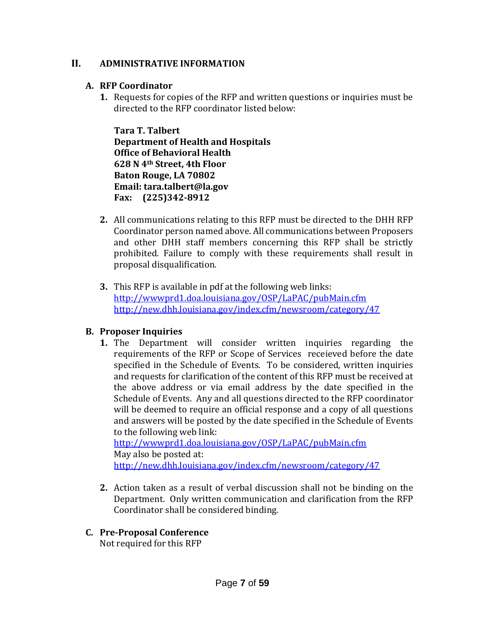#### **II. ADMINISTRATIVE INFORMATION**

#### **A. RFP Coordinator**

**1.** Requests for copies of the RFP and written questions or inquiries must be directed to the RFP coordinator listed below:

**Tara T. Talbert Department of Health and Hospitals Office of Behavioral Health 628 N 4th Street, 4th Floor Baton Rouge, LA 70802 Email: tara.talbert@la.gov Fax: (225)342-8912**

- **2.** All communications relating to this RFP must be directed to the DHH RFP Coordinator person named above. All communications between Proposers and other DHH staff members concerning this RFP shall be strictly prohibited. Failure to comply with these requirements shall result in proposal disqualification.
- **3.** This RFP is available in pdf at the following web links: <http://wwwprd1.doa.louisiana.gov/OSP/LaPAC/pubMain.cfm> <http://new.dhh.louisiana.gov/index.cfm/newsroom/category/47>

#### **B. Proposer Inquiries**

**1.** The Department will consider written inquiries regarding the requirements of the RFP or Scope of Services receieved before the date specified in the Schedule of Events. To be considered, written inquiries and requests for clarification of the content of this RFP must be received at the above address or via email address by the date specified in the Schedule of Events. Any and all questions directed to the RFP coordinator will be deemed to require an official response and a copy of all questions and answers will be posted by the date specified in the Schedule of Events to the following web link:

<http://wwwprd1.doa.louisiana.gov/OSP/LaPAC/pubMain.cfm> May also be posted at: <http://new.dhh.louisiana.gov/index.cfm/newsroom/category/47>

**2.** Action taken as a result of verbal discussion shall not be binding on the Department. Only written communication and clarification from the RFP Coordinator shall be considered binding.

#### **C. Pre-Proposal Conference**

Not required for this RFP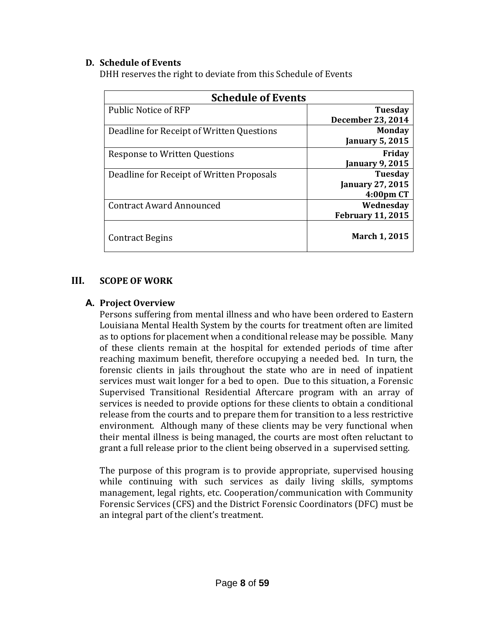#### **D. Schedule of Events**

DHH reserves the right to deviate from this Schedule of Events

| <b>Schedule of Events</b>                 |                          |  |
|-------------------------------------------|--------------------------|--|
| <b>Public Notice of RFP</b>               | <b>Tuesday</b>           |  |
|                                           | <b>December 23, 2014</b> |  |
| Deadline for Receipt of Written Questions | <b>Monday</b>            |  |
|                                           | <b>January 5, 2015</b>   |  |
| <b>Response to Written Questions</b>      | Friday                   |  |
|                                           | <b>January 9, 2015</b>   |  |
| Deadline for Receipt of Written Proposals | <b>Tuesday</b>           |  |
|                                           | <b>January 27, 2015</b>  |  |
|                                           | 4:00pm CT                |  |
| <b>Contract Award Announced</b>           | Wednesday                |  |
|                                           | <b>February 11, 2015</b> |  |
| <b>Contract Begins</b>                    | <b>March 1, 2015</b>     |  |

#### **III. SCOPE OF WORK**

#### **A. Project Overview**

Persons suffering from mental illness and who have been ordered to Eastern Louisiana Mental Health System by the courts for treatment often are limited as to options for placement when a conditional release may be possible. Many of these clients remain at the hospital for extended periods of time after reaching maximum benefit, therefore occupying a needed bed. In turn, the forensic clients in jails throughout the state who are in need of inpatient services must wait longer for a bed to open. Due to this situation, a Forensic Supervised Transitional Residential Aftercare program with an array of services is needed to provide options for these clients to obtain a conditional release from the courts and to prepare them for transition to a less restrictive environment. Although many of these clients may be very functional when their mental illness is being managed, the courts are most often reluctant to grant a full release prior to the client being observed in a supervised setting.

The purpose of this program is to provide appropriate, supervised housing while continuing with such services as daily living skills, symptoms management, legal rights, etc. Cooperation/communication with Community Forensic Services (CFS) and the District Forensic Coordinators (DFC) must be an integral part of the client's treatment.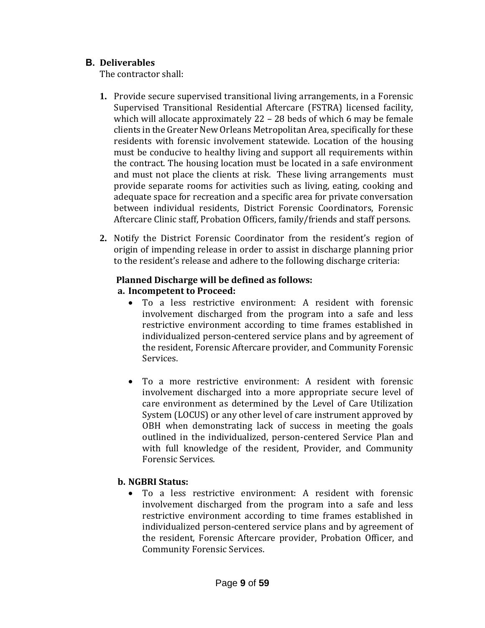#### **B. Deliverables**

The contractor shall:

- **1.** Provide secure supervised transitional living arrangements, in a Forensic Supervised Transitional Residential Aftercare (FSTRA) licensed facility, which will allocate approximately 22 – 28 beds of which 6 may be female clients in the Greater New Orleans Metropolitan Area, specifically for these residents with forensic involvement statewide. Location of the housing must be conducive to healthy living and support all requirements within the contract. The housing location must be located in a safe environment and must not place the clients at risk. These living arrangements must provide separate rooms for activities such as living, eating, cooking and adequate space for recreation and a specific area for private conversation between individual residents, District Forensic Coordinators, Forensic Aftercare Clinic staff, Probation Officers, family/friends and staff persons.
- **2.** Notify the District Forensic Coordinator from the resident's region of origin of impending release in order to assist in discharge planning prior to the resident's release and adhere to the following discharge criteria:

### **Planned Discharge will be defined as follows:**

### **a. Incompetent to Proceed:**

- To a less restrictive environment: A resident with forensic involvement discharged from the program into a safe and less restrictive environment according to time frames established in individualized person-centered service plans and by agreement of the resident, Forensic Aftercare provider, and Community Forensic Services.
- To a more restrictive environment: A resident with forensic involvement discharged into a more appropriate secure level of care environment as determined by the Level of Care Utilization System (LOCUS) or any other level of care instrument approved by OBH when demonstrating lack of success in meeting the goals outlined in the individualized, person-centered Service Plan and with full knowledge of the resident, Provider, and Community Forensic Services.

### **b. NGBRI Status:**

 To a less restrictive environment: A resident with forensic involvement discharged from the program into a safe and less restrictive environment according to time frames established in individualized person-centered service plans and by agreement of the resident, Forensic Aftercare provider, Probation Officer, and Community Forensic Services.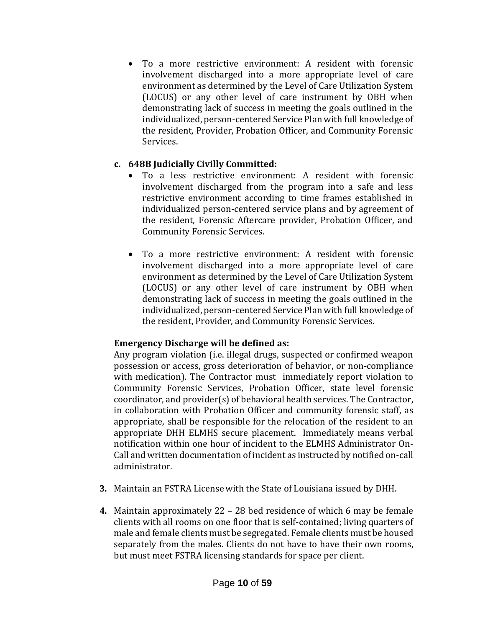To a more restrictive environment: A resident with forensic involvement discharged into a more appropriate level of care environment as determined by the Level of Care Utilization System (LOCUS) or any other level of care instrument by OBH when demonstrating lack of success in meeting the goals outlined in the individualized, person-centered Service Plan with full knowledge of the resident, Provider, Probation Officer, and Community Forensic Services.

#### **c. 648B Judicially Civilly Committed:**

- To a less restrictive environment: A resident with forensic involvement discharged from the program into a safe and less restrictive environment according to time frames established in individualized person-centered service plans and by agreement of the resident, Forensic Aftercare provider, Probation Officer, and Community Forensic Services.
- To a more restrictive environment: A resident with forensic involvement discharged into a more appropriate level of care environment as determined by the Level of Care Utilization System (LOCUS) or any other level of care instrument by OBH when demonstrating lack of success in meeting the goals outlined in the individualized, person-centered Service Plan with full knowledge of the resident, Provider, and Community Forensic Services.

#### **Emergency Discharge will be defined as:**

Any program violation (i.e. illegal drugs, suspected or confirmed weapon possession or access, gross deterioration of behavior, or non-compliance with medication). The Contractor must immediately report violation to Community Forensic Services, Probation Officer, state level forensic coordinator, and provider(s) of behavioral health services. The Contractor, in collaboration with Probation Officer and community forensic staff, as appropriate, shall be responsible for the relocation of the resident to an appropriate DHH ELMHS secure placement. Immediately means verbal notification within one hour of incident to the ELMHS Administrator On-Call and written documentation of incident as instructed by notified on-call administrator.

- **3.** Maintain an FSTRA License with the State of Louisiana issued by DHH.
- **4.** Maintain approximately 22 28 bed residence of which 6 may be female clients with all rooms on one floor that is self-contained; living quarters of male and female clients must be segregated. Female clients must be housed separately from the males. Clients do not have to have their own rooms, but must meet FSTRA licensing standards for space per client.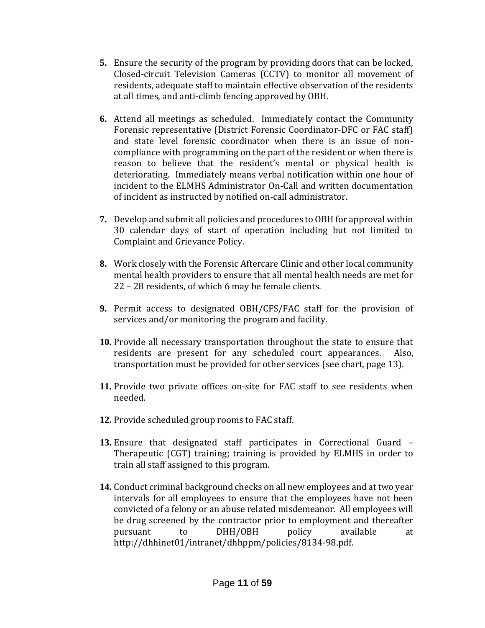- **5.** Ensure the security of the program by providing doors that can be locked, Closed-circuit Television Cameras (CCTV) to monitor all movement of residents, adequate staff to maintain effective observation of the residents at all times, and anti-climb fencing approved by OBH.
- **6.** Attend all meetings as scheduled. Immediately contact the Community Forensic representative (District Forensic Coordinator-DFC or FAC staff) and state level forensic coordinator when there is an issue of noncompliance with programming on the part of the resident or when there is reason to believe that the resident's mental or physical health is deteriorating. Immediately means verbal notification within one hour of incident to the ELMHS Administrator On-Call and written documentation of incident as instructed by notified on-call administrator.
- **7.** Develop and submit all policies and procedures to OBH for approval within 30 calendar days of start of operation including but not limited to Complaint and Grievance Policy.
- **8.** Work closely with the Forensic Aftercare Clinic and other local community mental health providers to ensure that all mental health needs are met for 22 – 28 residents, of which 6 may be female clients.
- **9.** Permit access to designated OBH/CFS/FAC staff for the provision of services and/or monitoring the program and facility.
- **10.** Provide all necessary transportation throughout the state to ensure that residents are present for any scheduled court appearances. Also, transportation must be provided for other services (see chart, page 13).
- **11.** Provide two private offices on-site for FAC staff to see residents when needed.
- **12.** Provide scheduled group rooms to FAC staff.
- **13.** Ensure that designated staff participates in Correctional Guard Therapeutic (CGT) training; training is provided by ELMHS in order to train all staff assigned to this program.
- **14.** Conduct criminal background checks on all new employees and at two year intervals for all employees to ensure that the employees have not been convicted of a felony or an abuse related misdemeanor. All employees will be drug screened by the contractor prior to employment and thereafter pursuant to DHH/OBH policy available at [http://dhhinet01/intranet/dhhppm/policies/8134-98.pdf.](http://dhhinet01/intranet/dhhppm/policies/8134-98.pdf)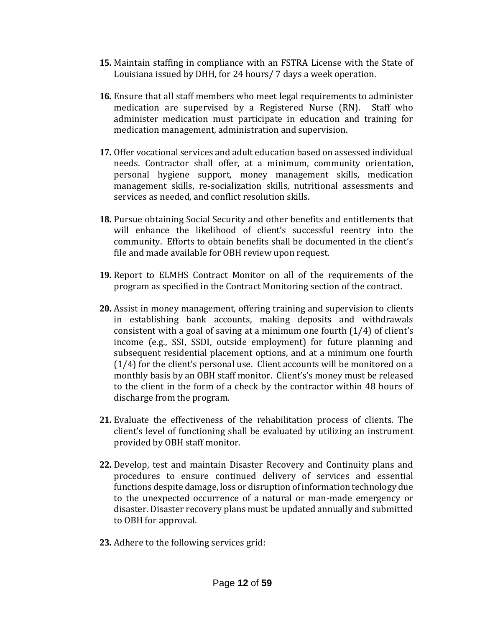- **15.** Maintain staffing in compliance with an FSTRA License with the State of Louisiana issued by DHH, for 24 hours/ 7 days a week operation.
- **16.** Ensure that all staff members who meet legal requirements to administer medication are supervised by a Registered Nurse (RN). Staff who administer medication must participate in education and training for medication management, administration and supervision.
- **17.** Offer vocational services and adult education based on assessed individual needs. Contractor shall offer, at a minimum, community orientation, personal hygiene support, money management skills, medication management skills, re-socialization skills, nutritional assessments and services as needed, and conflict resolution skills.
- **18.** Pursue obtaining Social Security and other benefits and entitlements that will enhance the likelihood of client's successful reentry into the community. Efforts to obtain benefits shall be documented in the client's file and made available for OBH review upon request.
- **19.** Report to ELMHS Contract Monitor on all of the requirements of the program as specified in the Contract Monitoring section of the contract.
- **20.** Assist in money management, offering training and supervision to clients in establishing bank accounts, making deposits and withdrawals consistent with a goal of saving at a minimum one fourth (1/4) of client's income (e.g., SSI, SSDI, outside employment) for future planning and subsequent residential placement options, and at a minimum one fourth (1/4) for the client's personal use. Client accounts will be monitored on a monthly basis by an OBH staff monitor. Client's's money must be released to the client in the form of a check by the contractor within 48 hours of discharge from the program.
- **21.** Evaluate the effectiveness of the rehabilitation process of clients. The client's level of functioning shall be evaluated by utilizing an instrument provided by OBH staff monitor.
- **22.** Develop, test and maintain Disaster Recovery and Continuity plans and procedures to ensure continued delivery of services and essential functions despite damage, loss or disruption of information technology due to the unexpected occurrence of a natural or man-made emergency or disaster. Disaster recovery plans must be updated annually and submitted to OBH for approval.
- **23.** Adhere to the following services grid: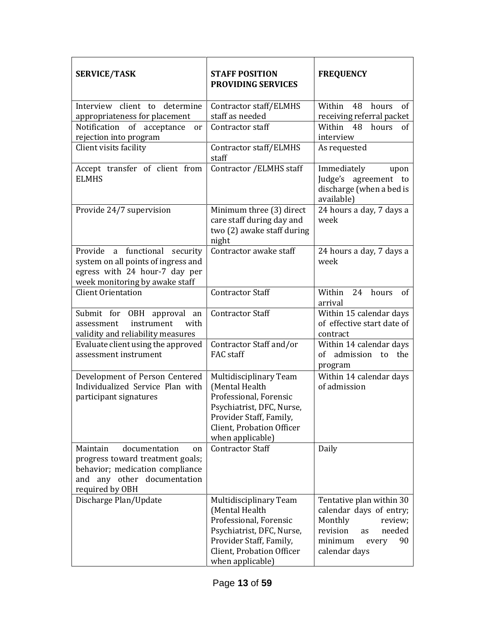| <b>SERVICE/TASK</b>                                                                                                                                      | <b>STAFF POSITION</b><br><b>PROVIDING SERVICES</b>                                                                                                                          | <b>FREQUENCY</b>                                                                                                                                 |
|----------------------------------------------------------------------------------------------------------------------------------------------------------|-----------------------------------------------------------------------------------------------------------------------------------------------------------------------------|--------------------------------------------------------------------------------------------------------------------------------------------------|
| Interview client to determine                                                                                                                            | Contractor staff/ELMHS                                                                                                                                                      | Within<br>48 hours<br>of                                                                                                                         |
| appropriateness for placement                                                                                                                            | staff as needed                                                                                                                                                             | receiving referral packet                                                                                                                        |
| Notification<br>of<br>acceptance<br><sub>or</sub><br>rejection into program                                                                              | Contractor staff                                                                                                                                                            | Within<br>48<br>hours<br>0f<br>interview                                                                                                         |
| Client visits facility                                                                                                                                   | Contractor staff/ELMHS<br>staff                                                                                                                                             | As requested                                                                                                                                     |
| Accept transfer of client from<br><b>ELMHS</b>                                                                                                           | Contractor / ELMHS staff                                                                                                                                                    | Immediately<br>upon<br>Judge's<br>agreement to<br>discharge (when a bed is<br>available)                                                         |
| Provide 24/7 supervision                                                                                                                                 | Minimum three (3) direct<br>care staff during day and<br>two (2) awake staff during<br>night                                                                                | 24 hours a day, 7 days a<br>week                                                                                                                 |
| Provide a functional security<br>system on all points of ingress and<br>egress with 24 hour-7 day per<br>week monitoring by awake staff                  | Contractor awake staff                                                                                                                                                      | 24 hours a day, 7 days a<br>week                                                                                                                 |
| <b>Client Orientation</b>                                                                                                                                | <b>Contractor Staff</b>                                                                                                                                                     | Within<br>24<br>hours<br>of<br>arrival                                                                                                           |
| Submit for OBH approval an<br>with<br>assessment<br>instrument<br>validity and reliability measures                                                      | <b>Contractor Staff</b>                                                                                                                                                     | Within 15 calendar days<br>of effective start date of<br>contract                                                                                |
| Evaluate client using the approved<br>assessment instrument                                                                                              | Contractor Staff and/or<br><b>FAC</b> staff                                                                                                                                 | Within 14 calendar days<br>admission<br>the<br>of<br>to<br>program                                                                               |
| Development of Person Centered<br>Individualized Service Plan with<br>participant signatures                                                             | Multidisciplinary Team<br>(Mental Health<br>Professional, Forensic<br>Psychiatrist, DFC, Nurse,<br>Provider Staff, Family,<br>Client, Probation Officer<br>when applicable) | Within 14 calendar days<br>of admission                                                                                                          |
| Maintain<br>documentation<br>on<br>progress toward treatment goals;<br>behavior; medication compliance<br>and any other documentation<br>required by OBH | <b>Contractor Staff</b>                                                                                                                                                     | Daily                                                                                                                                            |
| Discharge Plan/Update                                                                                                                                    | Multidisciplinary Team<br>(Mental Health<br>Professional, Forensic<br>Psychiatrist, DFC, Nurse,<br>Provider Staff, Family,<br>Client, Probation Officer<br>when applicable) | Tentative plan within 30<br>calendar days of entry;<br>Monthly<br>review;<br>needed<br>revision<br>as<br>minimum<br>90<br>every<br>calendar days |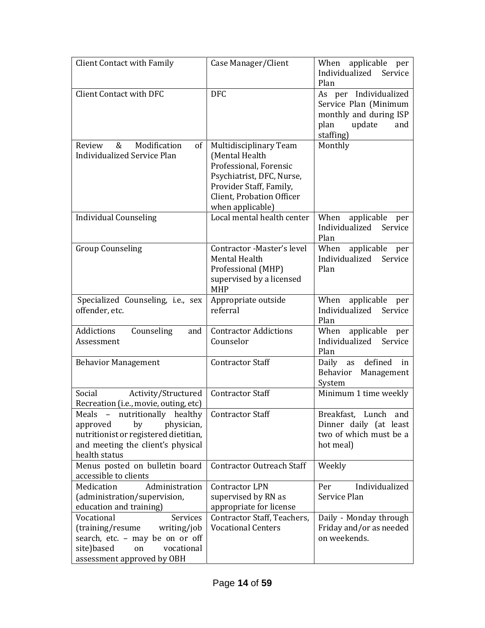| <b>Client Contact with Family</b>                                                                                                                            | Case Manager/Client                                                                                                                                                         | When applicable per<br>Individualized<br>Service<br>Plan                                                       |
|--------------------------------------------------------------------------------------------------------------------------------------------------------------|-----------------------------------------------------------------------------------------------------------------------------------------------------------------------------|----------------------------------------------------------------------------------------------------------------|
| <b>Client Contact with DFC</b>                                                                                                                               | <b>DFC</b>                                                                                                                                                                  | As per Individualized<br>Service Plan (Minimum<br>monthly and during ISP<br>plan<br>update<br>and<br>staffing) |
| Modification<br>Review<br>&<br>of<br><b>Individualized Service Plan</b>                                                                                      | Multidisciplinary Team<br>(Mental Health<br>Professional, Forensic<br>Psychiatrist, DFC, Nurse,<br>Provider Staff, Family,<br>Client, Probation Officer<br>when applicable) | Monthly                                                                                                        |
| <b>Individual Counseling</b>                                                                                                                                 | Local mental health center                                                                                                                                                  | When applicable per<br>Individualized Service<br>Plan                                                          |
| <b>Group Counseling</b>                                                                                                                                      | Contractor -Master's level<br>Mental Health<br>Professional (MHP)<br>supervised by a licensed<br><b>MHP</b>                                                                 | When applicable per<br>Individualized<br>Service<br>Plan                                                       |
| Specialized Counseling, i.e., sex<br>offender, etc.                                                                                                          | Appropriate outside<br>referral                                                                                                                                             | When applicable per<br>Individualized Service<br>Plan                                                          |
| Addictions<br>Counseling<br>and<br>Assessment                                                                                                                | <b>Contractor Addictions</b><br>Counselor                                                                                                                                   | When applicable per<br>Individualized Service<br>Plan                                                          |
| <b>Behavior Management</b>                                                                                                                                   | <b>Contractor Staff</b>                                                                                                                                                     | defined in<br>Daily as<br>Behavior Management<br>System                                                        |
| Social<br>Activity/Structured<br>Recreation (i.e., movie, outing, etc)                                                                                       | <b>Contractor Staff</b>                                                                                                                                                     | Minimum 1 time weekly                                                                                          |
| Meals - nutritionally healthy<br>physician,<br>approved<br>by<br>nutritionist or registered dietitian,<br>and meeting the client's physical<br>health status | Contractor Staff                                                                                                                                                            | Breakfast, Lunch and<br>Dinner daily (at least<br>two of which must be a<br>hot meal)                          |
| Menus posted on bulletin board<br>accessible to clients                                                                                                      | <b>Contractor Outreach Staff</b>                                                                                                                                            | Weekly                                                                                                         |
| Medication<br>Administration<br>(administration/supervision,<br>education and training)                                                                      | <b>Contractor LPN</b><br>supervised by RN as<br>appropriate for license                                                                                                     | Individualized<br>Per<br>Service Plan                                                                          |
| Services<br>Vocational<br>(training/resume<br>writing/job<br>search, etc. - may be on or off<br>site)based<br>vocational<br>on<br>assessment approved by OBH | Contractor Staff, Teachers,<br><b>Vocational Centers</b>                                                                                                                    | Daily - Monday through<br>Friday and/or as needed<br>on weekends.                                              |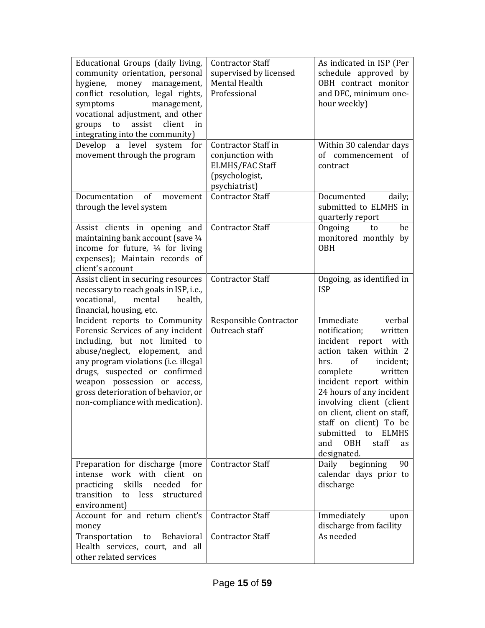| Educational Groups (daily living,<br>community orientation, personal<br>hygiene, money<br>management,<br>conflict resolution, legal rights,<br>symptoms<br>management,<br>vocational adjustment, and other<br>assist<br>client<br>to<br>in<br>groups<br>integrating into the community)                                  | <b>Contractor Staff</b><br>supervised by licensed<br>Mental Health<br>Professional                          | As indicated in ISP (Per<br>schedule approved by<br>OBH contract monitor<br>and DFC, minimum one-<br>hour weekly)                                                                                                                                                                                                                                                                |
|--------------------------------------------------------------------------------------------------------------------------------------------------------------------------------------------------------------------------------------------------------------------------------------------------------------------------|-------------------------------------------------------------------------------------------------------------|----------------------------------------------------------------------------------------------------------------------------------------------------------------------------------------------------------------------------------------------------------------------------------------------------------------------------------------------------------------------------------|
| Develop<br>level<br>a<br>system<br>for<br>movement through the program                                                                                                                                                                                                                                                   | <b>Contractor Staff in</b><br>conjunction with<br><b>ELMHS/FAC Staff</b><br>(psychologist,<br>psychiatrist) | Within 30 calendar days<br>of commencement<br>of<br>contract                                                                                                                                                                                                                                                                                                                     |
| of<br>Documentation<br>movement<br>through the level system                                                                                                                                                                                                                                                              | <b>Contractor Staff</b>                                                                                     | Documented<br>daily;<br>submitted to ELMHS in<br>quarterly report                                                                                                                                                                                                                                                                                                                |
| Assist clients in opening and<br>maintaining bank account (save 1/4<br>income for future, $\frac{1}{4}$ for living<br>expenses); Maintain records of<br>client's account                                                                                                                                                 | <b>Contractor Staff</b>                                                                                     | Ongoing<br>be<br>to<br>monitored monthly by<br><b>OBH</b>                                                                                                                                                                                                                                                                                                                        |
| Assist client in securing resources<br>necessary to reach goals in ISP, i.e.,<br>vocational,<br>mental<br>health,<br>financial, housing, etc.                                                                                                                                                                            | <b>Contractor Staff</b>                                                                                     | Ongoing, as identified in<br><b>ISP</b>                                                                                                                                                                                                                                                                                                                                          |
| Incident reports to Community<br>Forensic Services of any incident<br>including, but not limited to<br>abuse/neglect, elopement, and<br>any program violations (i.e. illegal<br>drugs, suspected or confirmed<br>weapon possession or access,<br>gross deterioration of behavior, or<br>non-compliance with medication). | Responsible Contractor<br>Outreach staff                                                                    | Immediate<br>verbal<br>notification;<br>written<br>incident report with<br>action taken within 2<br>of<br>incident;<br>hrs.<br>complete<br>written<br>incident report within<br>24 hours of any incident<br>involving client (client<br>on client, client on staff,<br>staff on client) To be<br>submitted to<br><b>ELMHS</b><br>staff<br>and<br><b>OBH</b><br>as<br>designated. |
| Preparation for discharge (more<br>intense work with client<br><sub>on</sub><br>practicing skills<br>needed<br>for<br>transition<br>to<br>less<br>structured<br>environment)                                                                                                                                             | <b>Contractor Staff</b>                                                                                     | Daily<br>beginning<br>90<br>calendar days prior to<br>discharge                                                                                                                                                                                                                                                                                                                  |
| Account for and return client's<br>money                                                                                                                                                                                                                                                                                 | <b>Contractor Staff</b>                                                                                     | Immediately<br>upon<br>discharge from facility                                                                                                                                                                                                                                                                                                                                   |
| Behavioral<br>Transportation<br>to<br>Health services, court, and all<br>other related services                                                                                                                                                                                                                          | <b>Contractor Staff</b>                                                                                     | As needed                                                                                                                                                                                                                                                                                                                                                                        |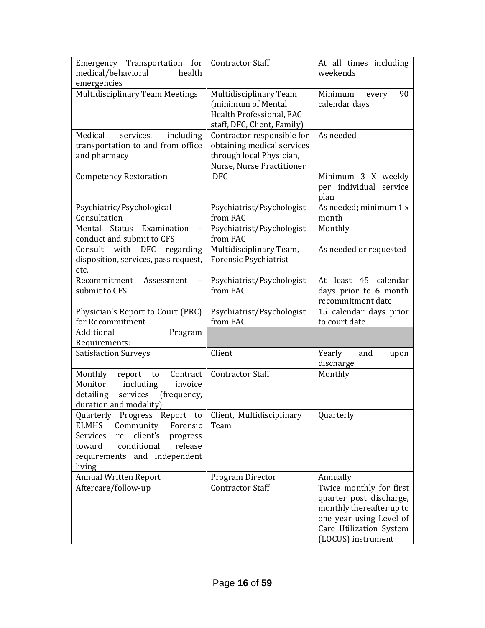| Emergency Transportation for<br>medical/behavioral<br>health<br>emergencies                                                                                                                                | <b>Contractor Staff</b>                                                                                           | At all times including<br>weekends                                                                                                                         |
|------------------------------------------------------------------------------------------------------------------------------------------------------------------------------------------------------------|-------------------------------------------------------------------------------------------------------------------|------------------------------------------------------------------------------------------------------------------------------------------------------------|
| <b>Multidisciplinary Team Meetings</b>                                                                                                                                                                     | Multidisciplinary Team<br>(minimum of Mental<br>Health Professional, FAC<br>staff, DFC, Client, Family)           | Minimum<br>90<br>every<br>calendar days                                                                                                                    |
| Medical<br>services,<br>including<br>transportation to and from office<br>and pharmacy                                                                                                                     | Contractor responsible for<br>obtaining medical services<br>through local Physician,<br>Nurse, Nurse Practitioner | As needed                                                                                                                                                  |
| <b>Competency Restoration</b>                                                                                                                                                                              | <b>DFC</b>                                                                                                        | Minimum 3 X weekly<br>per individual service<br>plan                                                                                                       |
| Psychiatric/Psychological<br>Consultation                                                                                                                                                                  | Psychiatrist/Psychologist<br>from FAC                                                                             | As needed; minimum 1 x<br>month                                                                                                                            |
| Mental<br><b>Status</b><br>Examination<br>conduct and submit to CFS                                                                                                                                        | Psychiatrist/Psychologist<br>from FAC                                                                             | Monthly                                                                                                                                                    |
| Consult with DFC<br>regarding<br>disposition, services, pass request,<br>etc.                                                                                                                              | Multidisciplinary Team,<br><b>Forensic Psychiatrist</b>                                                           | As needed or requested                                                                                                                                     |
| Recommitment<br>Assessment<br>submit to CFS                                                                                                                                                                | Psychiatrist/Psychologist<br>from FAC                                                                             | At least 45 calendar<br>days prior to 6 month<br>recommitment date                                                                                         |
| Physician's Report to Court (PRC)<br>for Recommitment                                                                                                                                                      | Psychiatrist/Psychologist<br>from FAC                                                                             | 15 calendar days prior<br>to court date                                                                                                                    |
| Additional<br>Program<br>Requirements:                                                                                                                                                                     |                                                                                                                   |                                                                                                                                                            |
| <b>Satisfaction Surveys</b>                                                                                                                                                                                | Client                                                                                                            | Yearly<br>and<br>upon<br>discharge                                                                                                                         |
| Monthly<br>report<br>Contract<br>to<br>Monitor<br>including<br>invoice<br>services<br>detailing<br>(frequency,<br>duration and modality)                                                                   | <b>Contractor Staff</b>                                                                                           | Monthly                                                                                                                                                    |
| Quarterly<br>Progress<br>Report to<br><b>ELMHS</b><br>Community<br>Forensic<br>client's<br><b>Services</b><br>re<br>progress<br>conditional<br>release<br>toward<br>requirements and independent<br>living | Client, Multidisciplinary<br>Team                                                                                 | Quarterly                                                                                                                                                  |
| <b>Annual Written Report</b>                                                                                                                                                                               | Program Director                                                                                                  | Annually                                                                                                                                                   |
| Aftercare/follow-up                                                                                                                                                                                        | <b>Contractor Staff</b>                                                                                           | Twice monthly for first<br>quarter post discharge,<br>monthly thereafter up to<br>one year using Level of<br>Care Utilization System<br>(LOCUS) instrument |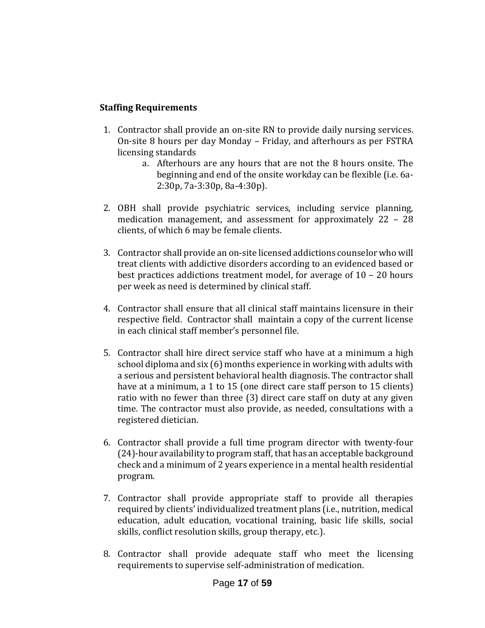#### **Staffing Requirements**

- 1. Contractor shall provide an on-site RN to provide daily nursing services. On-site 8 hours per day Monday – Friday, and afterhours as per FSTRA licensing standards
	- a. Afterhours are any hours that are not the 8 hours onsite. The beginning and end of the onsite workday can be flexible (i.e. 6a-2:30p, 7a-3:30p, 8a-4:30p).
- 2. OBH shall provide psychiatric services, including service planning, medication management, and assessment for approximately 22 – 28 clients, of which 6 may be female clients.
- 3. Contractor shall provide an on-site licensed addictions counselor who will treat clients with addictive disorders according to an evidenced based or best practices addictions treatment model, for average of 10 – 20 hours per week as need is determined by clinical staff.
- 4. Contractor shall ensure that all clinical staff maintains licensure in their respective field. Contractor shall maintain a copy of the current license in each clinical staff member's personnel file.
- 5. Contractor shall hire direct service staff who have at a minimum a high school diploma and six (6) months experience in working with adults with a serious and persistent behavioral health diagnosis. The contractor shall have at a minimum, a 1 to 15 (one direct care staff person to 15 clients) ratio with no fewer than three (3) direct care staff on duty at any given time. The contractor must also provide, as needed, consultations with a registered dietician.
- 6. Contractor shall provide a full time program director with twenty-four (24)-hour availability to program staff, that has an acceptable background check and a minimum of 2 years experience in a mental health residential program.
- 7. Contractor shall provide appropriate staff to provide all therapies required by clients' individualized treatment plans (i.e., nutrition, medical education, adult education, vocational training, basic life skills, social skills, conflict resolution skills, group therapy, etc.).
- 8. Contractor shall provide adequate staff who meet the licensing requirements to supervise self-administration of medication.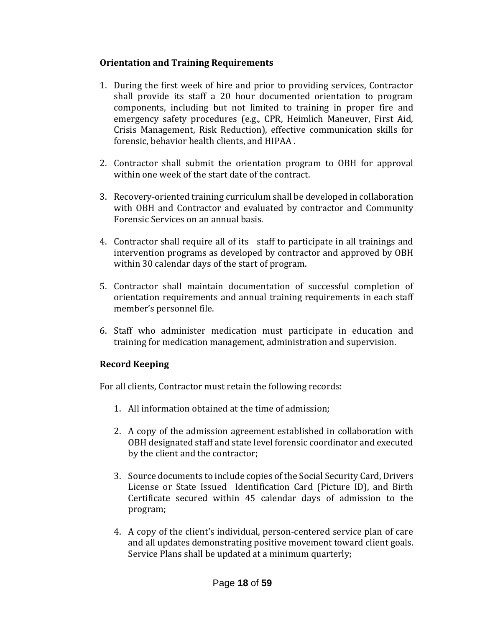### **Orientation and Training Requirements**

- 1. During the first week of hire and prior to providing services, Contractor shall provide its staff a 20 hour documented orientation to program components, including but not limited to training in proper fire and emergency safety procedures (e.g., CPR, Heimlich Maneuver, First Aid, Crisis Management, Risk Reduction), effective communication skills for forensic, behavior health clients, and HIPAA .
- 2. Contractor shall submit the orientation program to OBH for approval within one week of the start date of the contract.
- 3. Recovery-oriented training curriculum shall be developed in collaboration with OBH and Contractor and evaluated by contractor and Community Forensic Services on an annual basis.
- 4. Contractor shall require all of its staff to participate in all trainings and intervention programs as developed by contractor and approved by OBH within 30 calendar days of the start of program.
- 5. Contractor shall maintain documentation of successful completion of orientation requirements and annual training requirements in each staff member's personnel file.
- 6. Staff who administer medication must participate in education and training for medication management, administration and supervision.

### **Record Keeping**

For all clients, Contractor must retain the following records:

- 1. All information obtained at the time of admission;
- 2. A copy of the admission agreement established in collaboration with OBH designated staff and state level forensic coordinator and executed by the client and the contractor;
- 3. Source documents to include copies of the Social Security Card, Drivers License or State Issued Identification Card (Picture ID), and Birth Certificate secured within 45 calendar days of admission to the program;
- 4. A copy of the client's individual, person-centered service plan of care and all updates demonstrating positive movement toward client goals. Service Plans shall be updated at a minimum quarterly;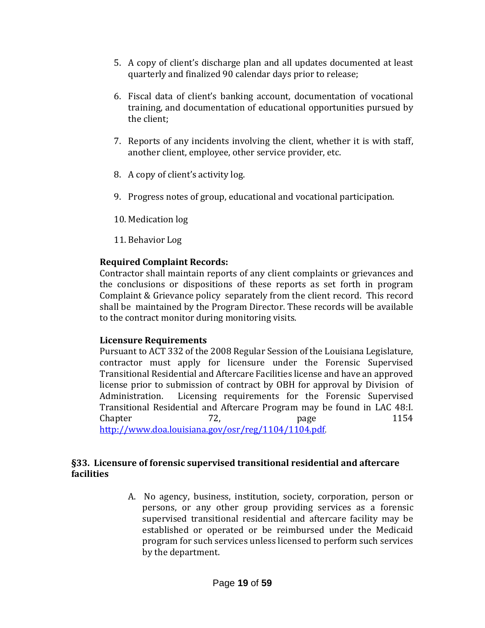- 5. A copy of client's discharge plan and all updates documented at least quarterly and finalized 90 calendar days prior to release;
- 6. Fiscal data of client's banking account, documentation of vocational training, and documentation of educational opportunities pursued by the client;
- 7. Reports of any incidents involving the client, whether it is with staff, another client, employee, other service provider, etc.
- 8. A copy of client's activity log.
- 9. Progress notes of group, educational and vocational participation.
- 10. Medication log
- 11. Behavior Log

#### **Required Complaint Records:**

Contractor shall maintain reports of any client complaints or grievances and the conclusions or dispositions of these reports as set forth in program Complaint & Grievance policy separately from the client record. This record shall be maintained by the Program Director. These records will be available to the contract monitor during monitoring visits.

#### **Licensure Requirements**

Pursuant to ACT 332 of the 2008 Regular Session of the Louisiana Legislature, contractor must apply for licensure under the Forensic Supervised Transitional Residential and Aftercare Facilities license and have an approved license prior to submission of contract by OBH for approval by Division of Administration. Licensing requirements for the Forensic Supervised Transitional Residential and Aftercare Program may be found in LAC 48:I. Chapter 72, page 1154 <http://www.doa.louisiana.gov/osr/reg/1104/1104.pdf>.

#### **§33. Licensure of forensic supervised transitional residential and aftercare facilities**

A. No agency, business, institution, society, corporation, person or persons, or any other group providing services as a forensic supervised transitional residential and aftercare facility may be established or operated or be reimbursed under the Medicaid program for such services unless licensed to perform such services by the department.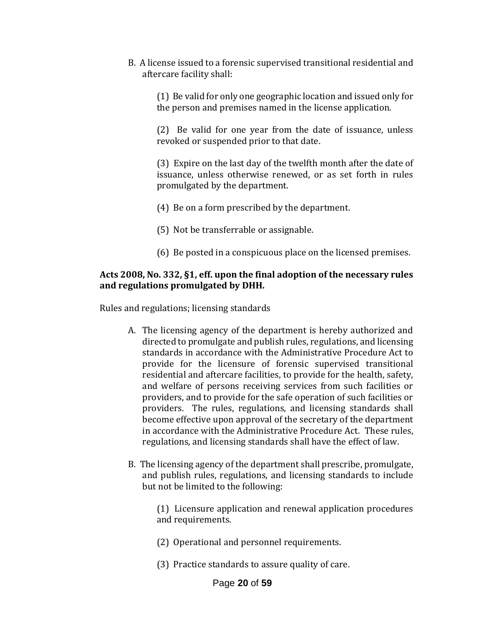B. A license issued to a forensic supervised transitional residential and aftercare facility shall:

(1) Be valid for only one geographic location and issued only for the person and premises named in the license application.

(2) Be valid for one year from the date of issuance, unless revoked or suspended prior to that date.

(3) Expire on the last day of the twelfth month after the date of issuance, unless otherwise renewed, or as set forth in rules promulgated by the department.

- (4) Be on a form prescribed by the department.
- (5) Not be transferrable or assignable.
- (6) Be posted in a conspicuous place on the licensed premises.

#### **Acts 2008, No. 332, §1, eff. upon the final adoption of the necessary rules and regulations promulgated by DHH.**

Rules and regulations; licensing standards

- A. The licensing agency of the department is hereby authorized and directed to promulgate and publish rules, regulations, and licensing standards in accordance with the Administrative Procedure Act to provide for the licensure of forensic supervised transitional residential and aftercare facilities, to provide for the health, safety, and welfare of persons receiving services from such facilities or providers, and to provide for the safe operation of such facilities or providers. The rules, regulations, and licensing standards shall become effective upon approval of the secretary of the department in accordance with the Administrative Procedure Act. These rules, regulations, and licensing standards shall have the effect of law.
- B. The licensing agency of the department shall prescribe, promulgate, and publish rules, regulations, and licensing standards to include but not be limited to the following:

(1) Licensure application and renewal application procedures and requirements.

- (2) Operational and personnel requirements.
- (3) Practice standards to assure quality of care.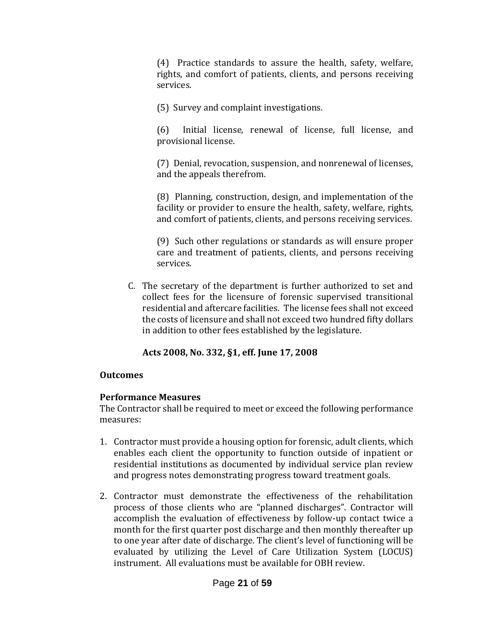(4) Practice standards to assure the health, safety, welfare, rights, and comfort of patients, clients, and persons receiving services.

(5) Survey and complaint investigations.

(6) Initial license, renewal of license, full license, and provisional license.

(7) Denial, revocation, suspension, and nonrenewal of licenses, and the appeals therefrom.

(8) Planning, construction, design, and implementation of the facility or provider to ensure the health, safety, welfare, rights, and comfort of patients, clients, and persons receiving services.

(9) Such other regulations or standards as will ensure proper care and treatment of patients, clients, and persons receiving services.

C. The secretary of the department is further authorized to set and collect fees for the licensure of forensic supervised transitional residential and aftercare facilities. The license fees shall not exceed the costs of licensure and shall not exceed two hundred fifty dollars in addition to other fees established by the legislature.

### **Acts 2008, No. 332, §1, eff. June 17, 2008**

### **Outcomes**

### **Performance Measures**

The Contractor shall be required to meet or exceed the following performance measures:

- 1. Contractor must provide a housing option for forensic, adult clients, which enables each client the opportunity to function outside of inpatient or residential institutions as documented by individual service plan review and progress notes demonstrating progress toward treatment goals.
- 2. Contractor must demonstrate the effectiveness of the rehabilitation process of those clients who are "planned discharges". Contractor will accomplish the evaluation of effectiveness by follow-up contact twice a month for the first quarter post discharge and then monthly thereafter up to one year after date of discharge. The client's level of functioning will be evaluated by utilizing the Level of Care Utilization System (LOCUS) instrument. All evaluations must be available for OBH review.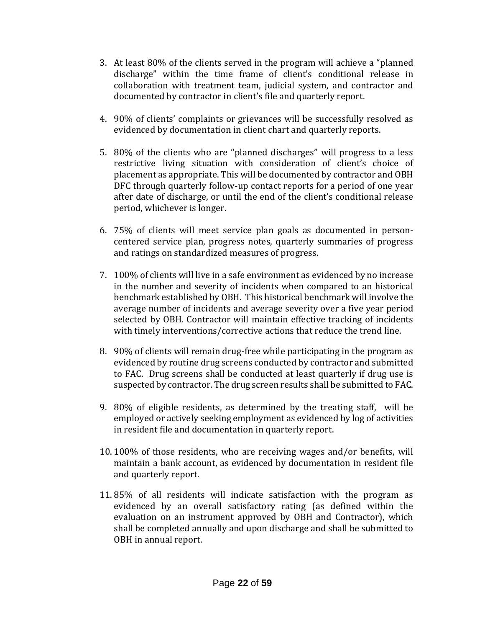- 3. At least 80% of the clients served in the program will achieve a "planned discharge" within the time frame of client's conditional release in collaboration with treatment team, judicial system, and contractor and documented by contractor in client's file and quarterly report.
- 4. 90% of clients' complaints or grievances will be successfully resolved as evidenced by documentation in client chart and quarterly reports.
- 5. 80% of the clients who are "planned discharges" will progress to a less restrictive living situation with consideration of client's choice of placement as appropriate. This will be documented by contractor and OBH DFC through quarterly follow-up contact reports for a period of one year after date of discharge, or until the end of the client's conditional release period, whichever is longer.
- 6. 75% of clients will meet service plan goals as documented in personcentered service plan, progress notes, quarterly summaries of progress and ratings on standardized measures of progress.
- 7. 100% of clients will live in a safe environment as evidenced by no increase in the number and severity of incidents when compared to an historical benchmark established by OBH. This historical benchmark will involve the average number of incidents and average severity over a five year period selected by OBH. Contractor will maintain effective tracking of incidents with timely interventions/corrective actions that reduce the trend line.
- 8. 90% of clients will remain drug-free while participating in the program as evidenced by routine drug screens conducted by contractor and submitted to FAC. Drug screens shall be conducted at least quarterly if drug use is suspected by contractor. The drug screen results shall be submitted to FAC.
- 9. 80% of eligible residents, as determined by the treating staff, will be employed or actively seeking employment as evidenced by log of activities in resident file and documentation in quarterly report.
- 10. 100% of those residents, who are receiving wages and/or benefits, will maintain a bank account, as evidenced by documentation in resident file and quarterly report.
- 11. 85% of all residents will indicate satisfaction with the program as evidenced by an overall satisfactory rating (as defined within the evaluation on an instrument approved by OBH and Contractor), which shall be completed annually and upon discharge and shall be submitted to OBH in annual report.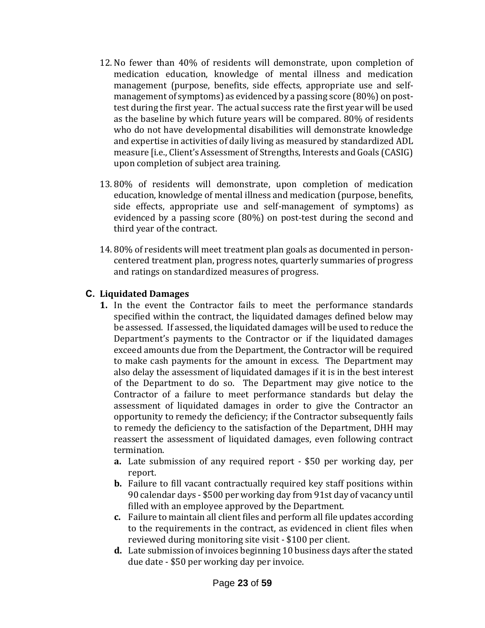- 12. No fewer than 40% of residents will demonstrate, upon completion of medication education, knowledge of mental illness and medication management (purpose, benefits, side effects, appropriate use and selfmanagement of symptoms) as evidenced by a passing score (80%) on posttest during the first year. The actual success rate the first year will be used as the baseline by which future years will be compared. 80% of residents who do not have developmental disabilities will demonstrate knowledge and expertise in activities of daily living as measured by standardized ADL measure [i.e., Client's Assessment of Strengths, Interests and Goals (CASIG) upon completion of subject area training.
- 13. 80% of residents will demonstrate, upon completion of medication education, knowledge of mental illness and medication (purpose, benefits, side effects, appropriate use and self-management of symptoms) as evidenced by a passing score (80%) on post-test during the second and third year of the contract.
- 14. 80% of residents will meet treatment plan goals as documented in personcentered treatment plan, progress notes, quarterly summaries of progress and ratings on standardized measures of progress.

#### **C. Liquidated Damages**

- **1.** In the event the Contractor fails to meet the performance standards specified within the contract, the liquidated damages defined below may be assessed. If assessed, the liquidated damages will be used to reduce the Department's payments to the Contractor or if the liquidated damages exceed amounts due from the Department, the Contractor will be required to make cash payments for the amount in excess. The Department may also delay the assessment of liquidated damages if it is in the best interest of the Department to do so. The Department may give notice to the Contractor of a failure to meet performance standards but delay the assessment of liquidated damages in order to give the Contractor an opportunity to remedy the deficiency; if the Contractor subsequently fails to remedy the deficiency to the satisfaction of the Department, DHH may reassert the assessment of liquidated damages, even following contract termination.
	- **a.** Late submission of any required report \$50 per working day, per report.
	- **b.** Failure to fill vacant contractually required key staff positions within 90 calendar days - \$500 per working day from 91st day of vacancy until filled with an employee approved by the Department.
	- **c.** Failure to maintain all client files and perform all file updates according to the requirements in the contract, as evidenced in client files when reviewed during monitoring site visit - \$100 per client.
	- **d.** Late submission of invoices beginning 10 business days after the stated due date - \$50 per working day per invoice.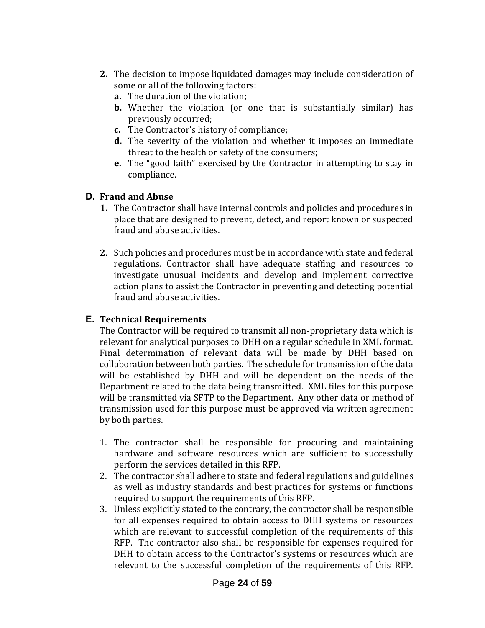- **2.** The decision to impose liquidated damages may include consideration of some or all of the following factors:
	- **a.** The duration of the violation;
	- **b.** Whether the violation (or one that is substantially similar) has previously occurred;
	- **c.** The Contractor's history of compliance;
	- **d.** The severity of the violation and whether it imposes an immediate threat to the health or safety of the consumers;
	- **e.** The "good faith" exercised by the Contractor in attempting to stay in compliance.

### **D. Fraud and Abuse**

- **1.** The Contractor shall have internal controls and policies and procedures in place that are designed to prevent, detect, and report known or suspected fraud and abuse activities.
- **2.** Such policies and procedures must be in accordance with state and federal regulations. Contractor shall have adequate staffing and resources to investigate unusual incidents and develop and implement corrective action plans to assist the Contractor in preventing and detecting potential fraud and abuse activities.

#### **E. Technical Requirements**

The Contractor will be required to transmit all non-proprietary data which is relevant for analytical purposes to DHH on a regular schedule in XML format. Final determination of relevant data will be made by DHH based on collaboration between both parties. The schedule for transmission of the data will be established by DHH and will be dependent on the needs of the Department related to the data being transmitted. XML files for this purpose will be transmitted via SFTP to the Department. Any other data or method of transmission used for this purpose must be approved via written agreement by both parties.

- 1. The contractor shall be responsible for procuring and maintaining hardware and software resources which are sufficient to successfully perform the services detailed in this RFP.
- 2. The contractor shall adhere to state and federal regulations and guidelines as well as industry standards and best practices for systems or functions required to support the requirements of this RFP.
- 3. Unless explicitly stated to the contrary, the contractor shall be responsible for all expenses required to obtain access to DHH systems or resources which are relevant to successful completion of the requirements of this RFP. The contractor also shall be responsible for expenses required for DHH to obtain access to the Contractor's systems or resources which are relevant to the successful completion of the requirements of this RFP.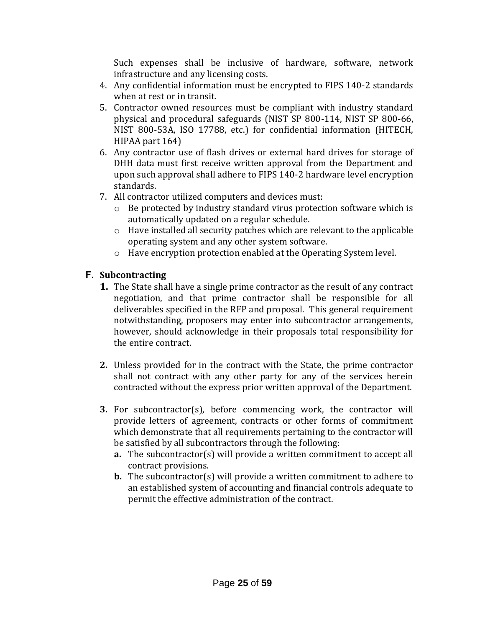Such expenses shall be inclusive of hardware, software, network infrastructure and any licensing costs.

- 4. Any confidential information must be encrypted to FIPS 140-2 standards when at rest or in transit.
- 5. Contractor owned resources must be compliant with industry standard physical and procedural safeguards (NIST SP 800-114, NIST SP 800-66, NIST 800-53A, ISO 17788, etc.) for confidential information (HITECH, HIPAA part 164)
- 6. Any contractor use of flash drives or external hard drives for storage of DHH data must first receive written approval from the Department and upon such approval shall adhere to FIPS 140-2 hardware level encryption standards.
- 7. All contractor utilized computers and devices must:
	- o Be protected by industry standard virus protection software which is automatically updated on a regular schedule.
	- o Have installed all security patches which are relevant to the applicable operating system and any other system software.
	- o Have encryption protection enabled at the Operating System level.

### **F. Subcontracting**

- **1.** The State shall have a single prime contractor as the result of any contract negotiation, and that prime contractor shall be responsible for all deliverables specified in the RFP and proposal. This general requirement notwithstanding, proposers may enter into subcontractor arrangements, however, should acknowledge in their proposals total responsibility for the entire contract.
- **2.** Unless provided for in the contract with the State, the prime contractor shall not contract with any other party for any of the services herein contracted without the express prior written approval of the Department.
- **3.** For subcontractor(s), before commencing work, the contractor will provide letters of agreement, contracts or other forms of commitment which demonstrate that all requirements pertaining to the contractor will be satisfied by all subcontractors through the following:
	- **a.** The subcontractor(s) will provide a written commitment to accept all contract provisions.
	- **b.** The subcontractor(s) will provide a written commitment to adhere to an established system of accounting and financial controls adequate to permit the effective administration of the contract.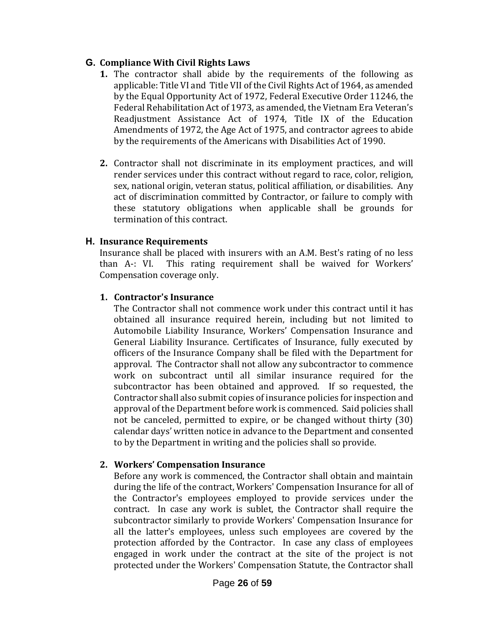#### **G. Compliance With Civil Rights Laws**

- **1.** The contractor shall abide by the requirements of the following as applicable: Title VI and Title VII of the Civil Rights Act of 1964, as amended by the Equal Opportunity Act of 1972, Federal Executive Order 11246, the Federal Rehabilitation Act of 1973, as amended, the Vietnam Era Veteran's Readjustment Assistance Act of 1974, Title IX of the Education Amendments of 1972, the Age Act of 1975, and contractor agrees to abide by the requirements of the Americans with Disabilities Act of 1990.
- **2.** Contractor shall not discriminate in its employment practices, and will render services under this contract without regard to race, color, religion, sex, national origin, veteran status, political affiliation, or disabilities. Any act of discrimination committed by Contractor, or failure to comply with these statutory obligations when applicable shall be grounds for termination of this contract.

### **H. Insurance Requirements**

Insurance shall be placed with insurers with an A.M. Best's rating of no less than A-: VI. This rating requirement shall be waived for Workers' Compensation coverage only.

### **1. Contractor's Insurance**

The Contractor shall not commence work under this contract until it has obtained all insurance required herein, including but not limited to Automobile Liability Insurance, Workers' Compensation Insurance and General Liability Insurance. Certificates of Insurance, fully executed by officers of the Insurance Company shall be filed with the Department for approval. The Contractor shall not allow any subcontractor to commence work on subcontract until all similar insurance required for the subcontractor has been obtained and approved. If so requested, the Contractor shall also submit copies of insurance policies for inspection and approval of the Department before work is commenced. Said policies shall not be canceled, permitted to expire, or be changed without thirty (30) calendar days' written notice in advance to the Department and consented to by the Department in writing and the policies shall so provide.

#### **2. Workers' Compensation Insurance**

Before any work is commenced, the Contractor shall obtain and maintain during the life of the contract, Workers' Compensation Insurance for all of the Contractor's employees employed to provide services under the contract. In case any work is sublet, the Contractor shall require the subcontractor similarly to provide Workers' Compensation Insurance for all the latter's employees, unless such employees are covered by the protection afforded by the Contractor. In case any class of employees engaged in work under the contract at the site of the project is not protected under the Workers' Compensation Statute, the Contractor shall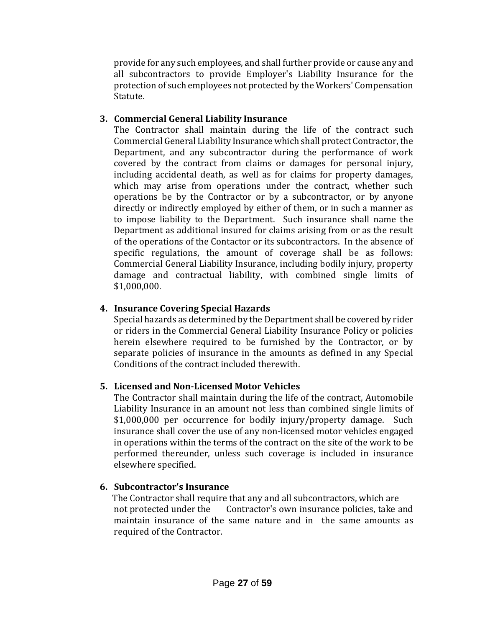provide for any such employees, and shall further provide or cause any and all subcontractors to provide Employer's Liability Insurance for the protection of such employees not protected by the Workers' Compensation Statute.

### **3. Commercial General Liability Insurance**

The Contractor shall maintain during the life of the contract such Commercial General Liability Insurance which shall protect Contractor, the Department, and any subcontractor during the performance of work covered by the contract from claims or damages for personal injury, including accidental death, as well as for claims for property damages, which may arise from operations under the contract, whether such operations be by the Contractor or by a subcontractor, or by anyone directly or indirectly employed by either of them, or in such a manner as to impose liability to the Department. Such insurance shall name the Department as additional insured for claims arising from or as the result of the operations of the Contactor or its subcontractors. In the absence of specific regulations, the amount of coverage shall be as follows: Commercial General Liability Insurance, including bodily injury, property damage and contractual liability, with combined single limits of \$1,000,000.

### **4. Insurance Covering Special Hazards**

Special hazards as determined by the Department shall be covered by rider or riders in the Commercial General Liability Insurance Policy or policies herein elsewhere required to be furnished by the Contractor, or by separate policies of insurance in the amounts as defined in any Special Conditions of the contract included therewith.

### **5. Licensed and Non-Licensed Motor Vehicles**

The Contractor shall maintain during the life of the contract, Automobile Liability Insurance in an amount not less than combined single limits of \$1,000,000 per occurrence for bodily injury/property damage. Such insurance shall cover the use of any non-licensed motor vehicles engaged in operations within the terms of the contract on the site of the work to be performed thereunder, unless such coverage is included in insurance elsewhere specified.

### **6. Subcontractor's Insurance**

 The Contractor shall require that any and all subcontractors, which are not protected under the Contractor's own insurance policies, take and maintain insurance of the same nature and in the same amounts as required of the Contractor.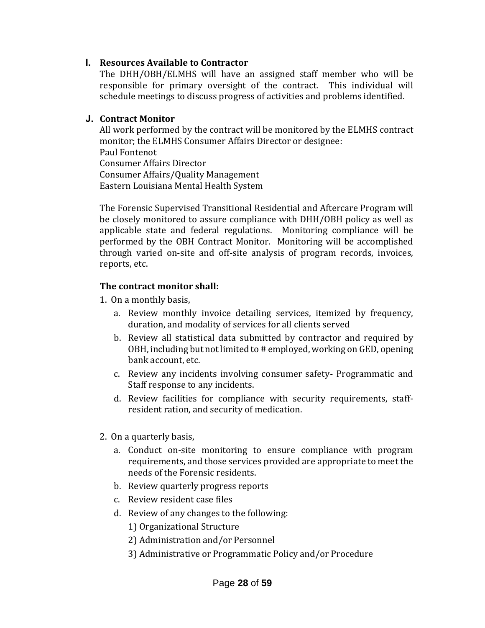#### **I. Resources Available to Contractor**

The DHH/OBH/ELMHS will have an assigned staff member who will be responsible for primary oversight of the contract. This individual will schedule meetings to discuss progress of activities and problems identified.

#### **J. Contract Monitor**

All work performed by the contract will be monitored by the ELMHS contract monitor; the ELMHS Consumer Affairs Director or designee: Paul Fontenot Consumer Affairs Director Consumer Affairs/Quality Management Eastern Louisiana Mental Health System

The Forensic Supervised Transitional Residential and Aftercare Program will be closely monitored to assure compliance with DHH/OBH policy as well as applicable state and federal regulations. Monitoring compliance will be performed by the OBH Contract Monitor. Monitoring will be accomplished through varied on-site and off-site analysis of program records, invoices, reports, etc.

#### **The contract monitor shall:**

- 1. On a monthly basis,
	- a. Review monthly invoice detailing services, itemized by frequency, duration, and modality of services for all clients served
	- b. Review all statistical data submitted by contractor and required by OBH, including but not limited to # employed, working on GED, opening bank account, etc.
	- c. Review any incidents involving consumer safety- Programmatic and Staff response to any incidents.
	- d. Review facilities for compliance with security requirements, staffresident ration, and security of medication.
- 2. On a quarterly basis,
	- a. Conduct on-site monitoring to ensure compliance with program requirements, and those services provided are appropriate to meet the needs of the Forensic residents.
	- b. Review quarterly progress reports
	- c. Review resident case files
	- d. Review of any changes to the following:
		- 1) Organizational Structure
		- 2) Administration and/or Personnel
		- 3) Administrative or Programmatic Policy and/or Procedure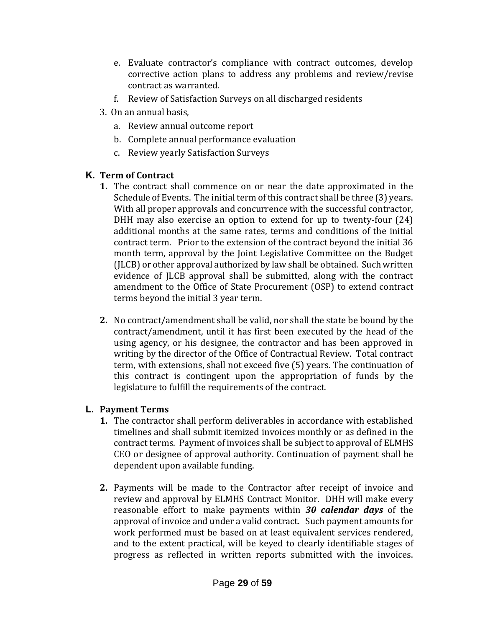- e. Evaluate contractor's compliance with contract outcomes, develop corrective action plans to address any problems and review/revise contract as warranted.
- f. Review of Satisfaction Surveys on all discharged residents
- 3. On an annual basis,
	- a. Review annual outcome report
	- b. Complete annual performance evaluation
	- c. Review yearly Satisfaction Surveys

#### **K. Term of Contract**

- **1.** The contract shall commence on or near the date approximated in the Schedule of Events. The initial term of this contract shall be three (3) years. With all proper approvals and concurrence with the successful contractor, DHH may also exercise an option to extend for up to twenty-four (24) additional months at the same rates, terms and conditions of the initial contract term. Prior to the extension of the contract beyond the initial 36 month term, approval by the Joint Legislative Committee on the Budget (JLCB) or other approval authorized by law shall be obtained. Such written evidence of JLCB approval shall be submitted, along with the contract amendment to the Office of State Procurement (OSP) to extend contract terms beyond the initial 3 year term.
- **2.** No contract/amendment shall be valid, nor shall the state be bound by the contract/amendment, until it has first been executed by the head of the using agency, or his designee, the contractor and has been approved in writing by the director of the Office of Contractual Review. Total contract term, with extensions, shall not exceed five (5) years. The continuation of this contract is contingent upon the appropriation of funds by the legislature to fulfill the requirements of the contract.

### **L. Payment Terms**

- **1.** The contractor shall perform deliverables in accordance with established timelines and shall submit itemized invoices monthly or as defined in the contract terms. Payment of invoices shall be subject to approval of ELMHS CEO or designee of approval authority. Continuation of payment shall be dependent upon available funding.
- **2.** Payments will be made to the Contractor after receipt of invoice and review and approval by ELMHS Contract Monitor. DHH will make every reasonable effort to make payments within *30 calendar days* of the approval of invoice and under a valid contract. Such payment amounts for work performed must be based on at least equivalent services rendered, and to the extent practical, will be keyed to clearly identifiable stages of progress as reflected in written reports submitted with the invoices.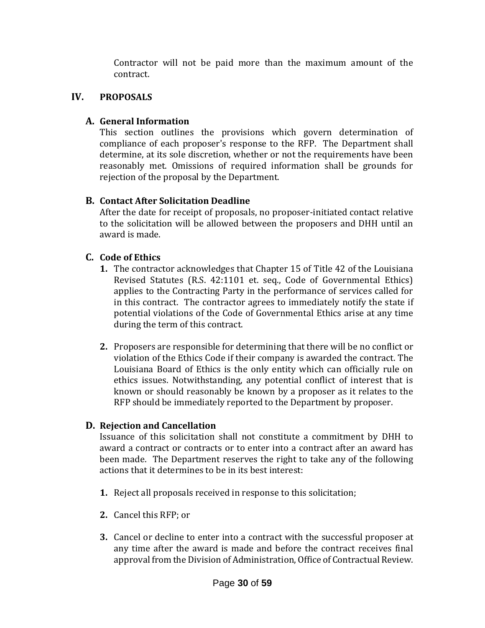Contractor will not be paid more than the maximum amount of the contract.

### **IV. PROPOSALS**

### **A. General Information**

This section outlines the provisions which govern determination of compliance of each proposer's response to the RFP. The Department shall determine, at its sole discretion, whether or not the requirements have been reasonably met. Omissions of required information shall be grounds for rejection of the proposal by the Department.

### **B. Contact After Solicitation Deadline**

After the date for receipt of proposals, no proposer-initiated contact relative to the solicitation will be allowed between the proposers and DHH until an award is made.

### **C. Code of Ethics**

- **1.** The contractor acknowledges that Chapter 15 of Title 42 of the Louisiana Revised Statutes (R.S. 42:1101 et. seq., Code of Governmental Ethics) applies to the Contracting Party in the performance of services called for in this contract. The contractor agrees to immediately notify the state if potential violations of the Code of Governmental Ethics arise at any time during the term of this contract.
- **2.** Proposers are responsible for determining that there will be no conflict or violation of the Ethics Code if their company is awarded the contract. The Louisiana Board of Ethics is the only entity which can officially rule on ethics issues. Notwithstanding, any potential conflict of interest that is known or should reasonably be known by a proposer as it relates to the RFP should be immediately reported to the Department by proposer.

### **D. Rejection and Cancellation**

Issuance of this solicitation shall not constitute a commitment by DHH to award a contract or contracts or to enter into a contract after an award has been made. The Department reserves the right to take any of the following actions that it determines to be in its best interest:

- **1.** Reject all proposals received in response to this solicitation;
- **2.** Cancel this RFP; or
- **3.** Cancel or decline to enter into a contract with the successful proposer at any time after the award is made and before the contract receives final approval from the Division of Administration, Office of Contractual Review.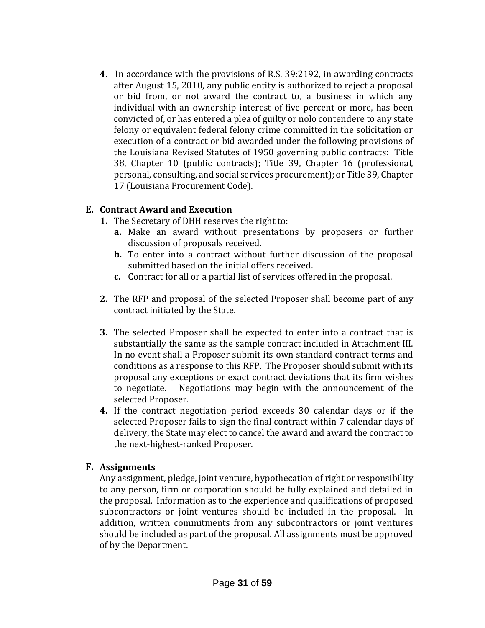**4**. In accordance with the provisions of R.S. 39:2192, in awarding contracts after August 15, 2010, any public entity is authorized to reject a proposal or bid from, or not award the contract to, a business in which any individual with an ownership interest of five percent or more, has been convicted of, or has entered a plea of guilty or nolo contendere to any state felony or equivalent federal felony crime committed in the solicitation or execution of a contract or bid awarded under the following provisions of the Louisiana Revised Statutes of 1950 governing public contracts: Title 38, Chapter 10 (public contracts); Title 39, Chapter 16 (professional, personal, consulting, and social services procurement); or Title 39, Chapter 17 (Louisiana Procurement Code).

#### **E. Contract Award and Execution**

- **1.** The Secretary of DHH reserves the right to:
	- **a.** Make an award without presentations by proposers or further discussion of proposals received.
	- **b.** To enter into a contract without further discussion of the proposal submitted based on the initial offers received.
	- **c.** Contract for all or a partial list of services offered in the proposal.
- **2.** The RFP and proposal of the selected Proposer shall become part of any contract initiated by the State.
- **3.** The selected Proposer shall be expected to enter into a contract that is substantially the same as the sample contract included in Attachment III. In no event shall a Proposer submit its own standard contract terms and conditions as a response to this RFP. The Proposer should submit with its proposal any exceptions or exact contract deviations that its firm wishes to negotiate. Negotiations may begin with the announcement of the selected Proposer.
- **4.** If the contract negotiation period exceeds 30 calendar days or if the selected Proposer fails to sign the final contract within 7 calendar days of delivery, the State may elect to cancel the award and award the contract to the next-highest-ranked Proposer.

#### **F. Assignments**

Any assignment, pledge, joint venture, hypothecation of right or responsibility to any person, firm or corporation should be fully explained and detailed in the proposal. Information as to the experience and qualifications of proposed subcontractors or joint ventures should be included in the proposal. In addition, written commitments from any subcontractors or joint ventures should be included as part of the proposal. All assignments must be approved of by the Department.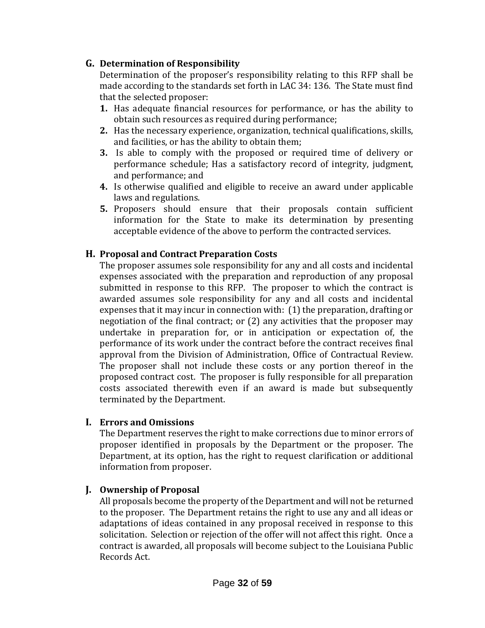### **G. Determination of Responsibility**

Determination of the proposer's responsibility relating to this RFP shall be made according to the standards set forth in LAC 34: 136. The State must find that the selected proposer:

- **1.** Has adequate financial resources for performance, or has the ability to obtain such resources as required during performance;
- **2.** Has the necessary experience, organization, technical qualifications, skills, and facilities, or has the ability to obtain them;
- **3.** Is able to comply with the proposed or required time of delivery or performance schedule; Has a satisfactory record of integrity, judgment, and performance; and
- **4.** Is otherwise qualified and eligible to receive an award under applicable laws and regulations.
- **5.** Proposers should ensure that their proposals contain sufficient information for the State to make its determination by presenting acceptable evidence of the above to perform the contracted services.

### **H. Proposal and Contract Preparation Costs**

The proposer assumes sole responsibility for any and all costs and incidental expenses associated with the preparation and reproduction of any proposal submitted in response to this RFP. The proposer to which the contract is awarded assumes sole responsibility for any and all costs and incidental expenses that it may incur in connection with: (1) the preparation, drafting or negotiation of the final contract; or (2) any activities that the proposer may undertake in preparation for, or in anticipation or expectation of, the performance of its work under the contract before the contract receives final approval from the Division of Administration, Office of Contractual Review. The proposer shall not include these costs or any portion thereof in the proposed contract cost. The proposer is fully responsible for all preparation costs associated therewith even if an award is made but subsequently terminated by the Department.

#### **I. Errors and Omissions**

The Department reserves the right to make corrections due to minor errors of proposer identified in proposals by the Department or the proposer. The Department, at its option, has the right to request clarification or additional information from proposer.

### **J. Ownership of Proposal**

All proposals become the property of the Department and will not be returned to the proposer. The Department retains the right to use any and all ideas or adaptations of ideas contained in any proposal received in response to this solicitation. Selection or rejection of the offer will not affect this right. Once a contract is awarded, all proposals will become subject to the Louisiana Public Records Act.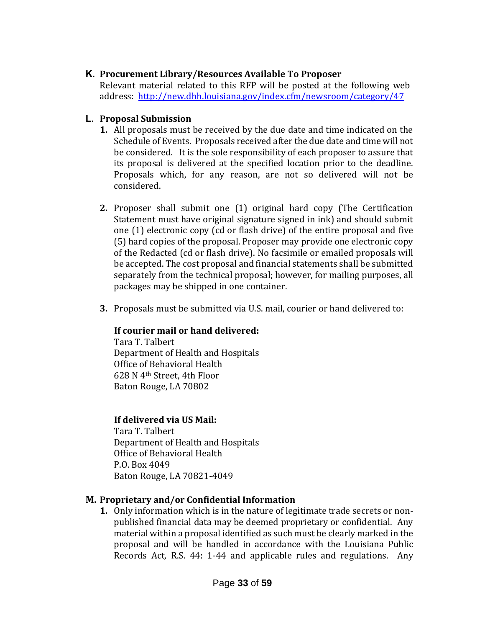### **K. Procurement Library/Resources Available To Proposer**

Relevant material related to this RFP will be posted at the following web address:<http://new.dhh.louisiana.gov/index.cfm/newsroom/category/47>

### **L. Proposal Submission**

- **1.** All proposals must be received by the due date and time indicated on the Schedule of Events. Proposals received after the due date and time will not be considered. It is the sole responsibility of each proposer to assure that its proposal is delivered at the specified location prior to the deadline. Proposals which, for any reason, are not so delivered will not be considered.
- **2.** Proposer shall submit one (1) original hard copy (The Certification Statement must have original signature signed in ink) and should submit one (1) electronic copy (cd or flash drive) of the entire proposal and five (5) hard copies of the proposal. Proposer may provide one electronic copy of the Redacted (cd or flash drive). No facsimile or emailed proposals will be accepted. The cost proposal and financial statements shall be submitted separately from the technical proposal; however, for mailing purposes, all packages may be shipped in one container.
- **3.** Proposals must be submitted via U.S. mail, courier or hand delivered to:

### **If courier mail or hand delivered:**

Tara T. Talbert Department of Health and Hospitals Office of Behavioral Health 628 N 4th Street, 4th Floor Baton Rouge, LA 70802

### **If delivered via US Mail:**

Tara T. Talbert Department of Health and Hospitals Office of Behavioral Health P.O. Box 4049 Baton Rouge, LA 70821-4049

### **M. Proprietary and/or Confidential Information**

**1.** Only information which is in the nature of legitimate trade secrets or nonpublished financial data may be deemed proprietary or confidential. Any material within a proposal identified as such must be clearly marked in the proposal and will be handled in accordance with the Louisiana Public Records Act, R.S. 44: 1-44 and applicable rules and regulations. Any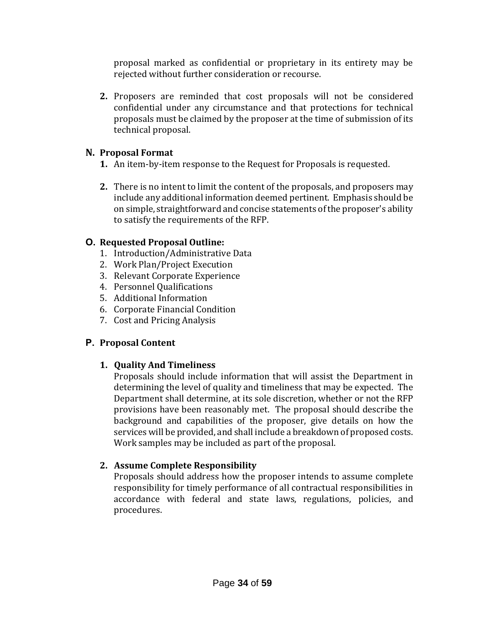proposal marked as confidential or proprietary in its entirety may be rejected without further consideration or recourse.

**2.** Proposers are reminded that cost proposals will not be considered confidential under any circumstance and that protections for technical proposals must be claimed by the proposer at the time of submission of its technical proposal.

### **N. Proposal Format**

- **1.** An item-by-item response to the Request for Proposals is requested.
- **2.** There is no intent to limit the content of the proposals, and proposers may include any additional information deemed pertinent. Emphasis should be on simple, straightforward and concise statements of the proposer's ability to satisfy the requirements of the RFP.

### **O. Requested Proposal Outline:**

- 1. Introduction/Administrative Data
- 2. Work Plan/Project Execution
- 3. Relevant Corporate Experience
- 4. Personnel Qualifications
- 5. Additional Information
- 6. Corporate Financial Condition
- 7. Cost and Pricing Analysis

### **P. Proposal Content**

### **1. Quality And Timeliness**

Proposals should include information that will assist the Department in determining the level of quality and timeliness that may be expected. The Department shall determine, at its sole discretion, whether or not the RFP provisions have been reasonably met. The proposal should describe the background and capabilities of the proposer, give details on how the services will be provided, and shall include a breakdown of proposed costs. Work samples may be included as part of the proposal.

### **2. Assume Complete Responsibility**

Proposals should address how the proposer intends to assume complete responsibility for timely performance of all contractual responsibilities in accordance with federal and state laws, regulations, policies, and procedures.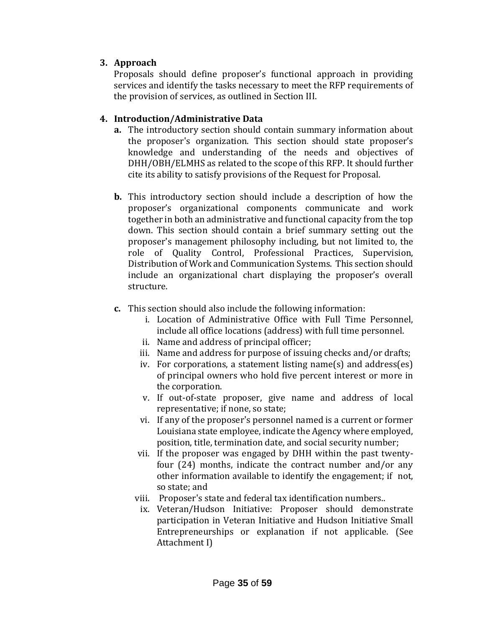### **3. Approach**

Proposals should define proposer's functional approach in providing services and identify the tasks necessary to meet the RFP requirements of the provision of services, as outlined in Section III.

### **4. Introduction/Administrative Data**

- **a.** The introductory section should contain summary information about the proposer's organization. This section should state proposer's knowledge and understanding of the needs and objectives of DHH/OBH/ELMHS as related to the scope of this RFP. It should further cite its ability to satisfy provisions of the Request for Proposal.
- **b.** This introductory section should include a description of how the proposer's organizational components communicate and work together in both an administrative and functional capacity from the top down. This section should contain a brief summary setting out the proposer's management philosophy including, but not limited to, the role of Quality Control, Professional Practices, Supervision, Distribution of Work and Communication Systems. This section should include an organizational chart displaying the proposer's overall structure.
- **c.** This section should also include the following information:
	- i. Location of Administrative Office with Full Time Personnel, include all office locations (address) with full time personnel.
	- ii. Name and address of principal officer;
	- iii. Name and address for purpose of issuing checks and/or drafts;
	- iv. For corporations, a statement listing name(s) and address(es) of principal owners who hold five percent interest or more in the corporation.
	- v. If out-of-state proposer, give name and address of local representative; if none, so state;
	- vi. If any of the proposer's personnel named is a current or former Louisiana state employee, indicate the Agency where employed, position, title, termination date, and social security number;
	- vii. If the proposer was engaged by DHH within the past twentyfour (24) months, indicate the contract number and/or any other information available to identify the engagement; if not, so state; and
	- viii. Proposer's state and federal tax identification numbers..
	- ix. Veteran/Hudson Initiative: Proposer should demonstrate participation in Veteran Initiative and Hudson Initiative Small Entrepreneurships or explanation if not applicable. (See Attachment I)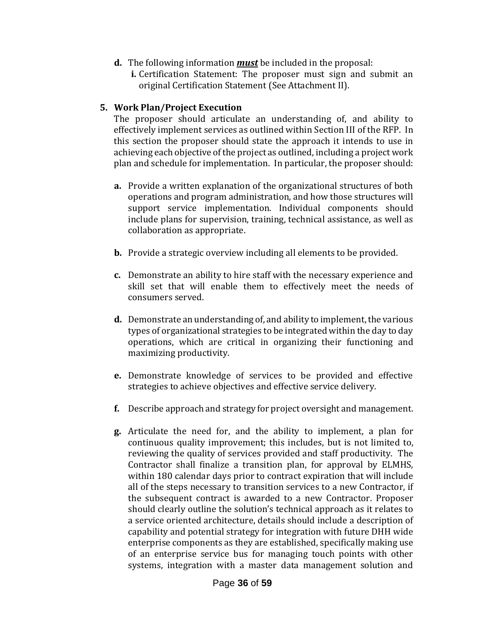- **d.** The following information *must* be included in the proposal:
	- **i.** Certification Statement: The proposer must sign and submit an original Certification Statement (See Attachment II).

#### **5. Work Plan/Project Execution**

The proposer should articulate an understanding of, and ability to effectively implement services as outlined within Section III of the RFP. In this section the proposer should state the approach it intends to use in achieving each objective of the project as outlined, including a project work plan and schedule for implementation. In particular, the proposer should:

- **a.** Provide a written explanation of the organizational structures of both operations and program administration, and how those structures will support service implementation. Individual components should include plans for supervision, training, technical assistance, as well as collaboration as appropriate.
- **b.** Provide a strategic overview including all elements to be provided.
- **c.** Demonstrate an ability to hire staff with the necessary experience and skill set that will enable them to effectively meet the needs of consumers served.
- **d.** Demonstrate an understanding of, and ability to implement, the various types of organizational strategies to be integrated within the day to day operations, which are critical in organizing their functioning and maximizing productivity.
- **e.** Demonstrate knowledge of services to be provided and effective strategies to achieve objectives and effective service delivery.
- **f.** Describe approach and strategy for project oversight and management.
- **g.** Articulate the need for, and the ability to implement, a plan for continuous quality improvement; this includes, but is not limited to, reviewing the quality of services provided and staff productivity. The Contractor shall finalize a transition plan, for approval by ELMHS, within 180 calendar days prior to contract expiration that will include all of the steps necessary to transition services to a new Contractor, if the subsequent contract is awarded to a new Contractor. Proposer should clearly outline the solution's technical approach as it relates to a service oriented architecture, details should include a description of capability and potential strategy for integration with future DHH wide enterprise components as they are established, specifically making use of an enterprise service bus for managing touch points with other systems, integration with a master data management solution and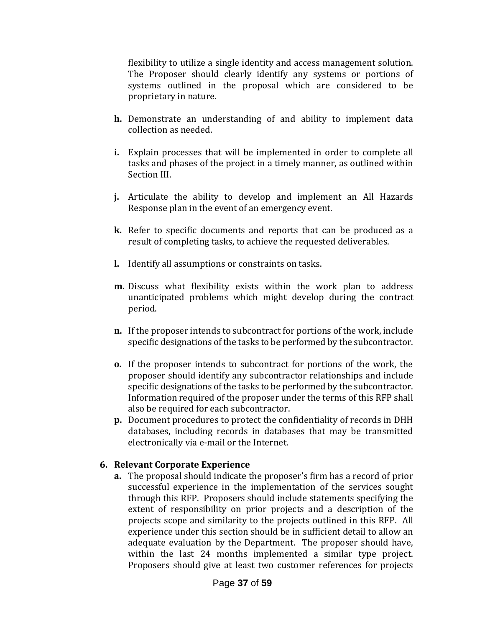flexibility to utilize a single identity and access management solution. The Proposer should clearly identify any systems or portions of systems outlined in the proposal which are considered to be proprietary in nature.

- **h.** Demonstrate an understanding of and ability to implement data collection as needed.
- **i.** Explain processes that will be implemented in order to complete all tasks and phases of the project in a timely manner, as outlined within Section III.
- **j.** Articulate the ability to develop and implement an All Hazards Response plan in the event of an emergency event.
- **k.** Refer to specific documents and reports that can be produced as a result of completing tasks, to achieve the requested deliverables.
- **l.** Identify all assumptions or constraints on tasks.
- **m.** Discuss what flexibility exists within the work plan to address unanticipated problems which might develop during the contract period.
- **n.** If the proposer intends to subcontract for portions of the work, include specific designations of the tasks to be performed by the subcontractor.
- **o.** If the proposer intends to subcontract for portions of the work, the proposer should identify any subcontractor relationships and include specific designations of the tasks to be performed by the subcontractor. Information required of the proposer under the terms of this RFP shall also be required for each subcontractor.
- **p.** Document procedures to protect the confidentiality of records in DHH databases, including records in databases that may be transmitted electronically via e-mail or the Internet.

### **6. Relevant Corporate Experience**

**a.** The proposal should indicate the proposer's firm has a record of prior successful experience in the implementation of the services sought through this RFP. Proposers should include statements specifying the extent of responsibility on prior projects and a description of the projects scope and similarity to the projects outlined in this RFP. All experience under this section should be in sufficient detail to allow an adequate evaluation by the Department. The proposer should have, within the last 24 months implemented a similar type project. Proposers should give at least two customer references for projects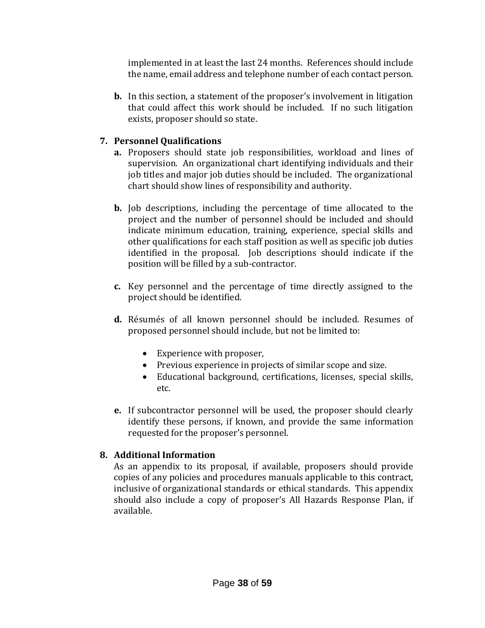implemented in at least the last 24 months. References should include the name, email address and telephone number of each contact person.

**b.** In this section, a statement of the proposer's involvement in litigation that could affect this work should be included. If no such litigation exists, proposer should so state.

### **7. Personnel Qualifications**

- **a.** Proposers should state job responsibilities, workload and lines of supervision. An organizational chart identifying individuals and their job titles and major job duties should be included. The organizational chart should show lines of responsibility and authority.
- **b.** Job descriptions, including the percentage of time allocated to the project and the number of personnel should be included and should indicate minimum education, training, experience, special skills and other qualifications for each staff position as well as specific job duties identified in the proposal. Job descriptions should indicate if the position will be filled by a sub-contractor.
- **c.** Key personnel and the percentage of time directly assigned to the project should be identified.
- **d.** Résumés of all known personnel should be included. Resumes of proposed personnel should include, but not be limited to:
	- Experience with proposer,
	- Previous experience in projects of similar scope and size.
	- Educational background, certifications, licenses, special skills, etc.
- **e.** If subcontractor personnel will be used, the proposer should clearly identify these persons, if known, and provide the same information requested for the proposer's personnel.

### **8. Additional Information**

As an appendix to its proposal, if available, proposers should provide copies of any policies and procedures manuals applicable to this contract, inclusive of organizational standards or ethical standards. This appendix should also include a copy of proposer's All Hazards Response Plan, if available.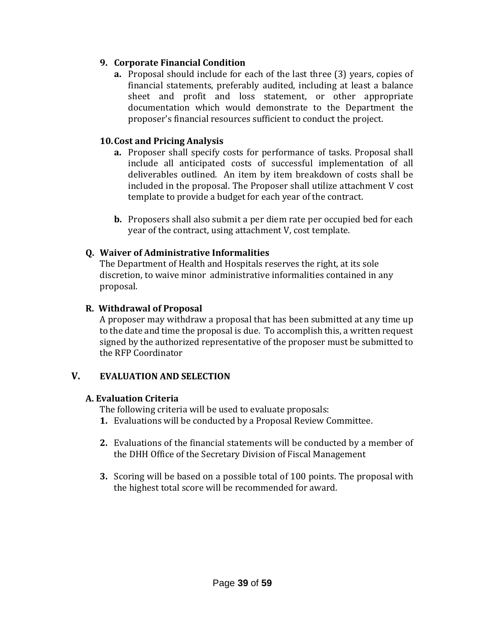### **9. Corporate Financial Condition**

**a.** Proposal should include for each of the last three (3) years, copies of financial statements, preferably audited, including at least a balance sheet and profit and loss statement, or other appropriate documentation which would demonstrate to the Department the proposer's financial resources sufficient to conduct the project.

#### **10.Cost and Pricing Analysis**

- **a.** Proposer shall specify costs for performance of tasks. Proposal shall include all anticipated costs of successful implementation of all deliverables outlined. An item by item breakdown of costs shall be included in the proposal. The Proposer shall utilize attachment V cost template to provide a budget for each year of the contract.
- **b.** Proposers shall also submit a per diem rate per occupied bed for each year of the contract, using attachment V, cost template.

### **Q. Waiver of Administrative Informalities**

The Department of Health and Hospitals reserves the right, at its sole discretion, to waive minor administrative informalities contained in any proposal.

### **R. Withdrawal of Proposal**

A proposer may withdraw a proposal that has been submitted at any time up to the date and time the proposal is due. To accomplish this, a written request signed by the authorized representative of the proposer must be submitted to the RFP Coordinator

### **V. EVALUATION AND SELECTION**

#### **A. Evaluation Criteria**

The following criteria will be used to evaluate proposals:

- **1.** Evaluations will be conducted by a Proposal Review Committee.
- **2.** Evaluations of the financial statements will be conducted by a member of the DHH Office of the Secretary Division of Fiscal Management
- **3.** Scoring will be based on a possible total of 100 points. The proposal with the highest total score will be recommended for award.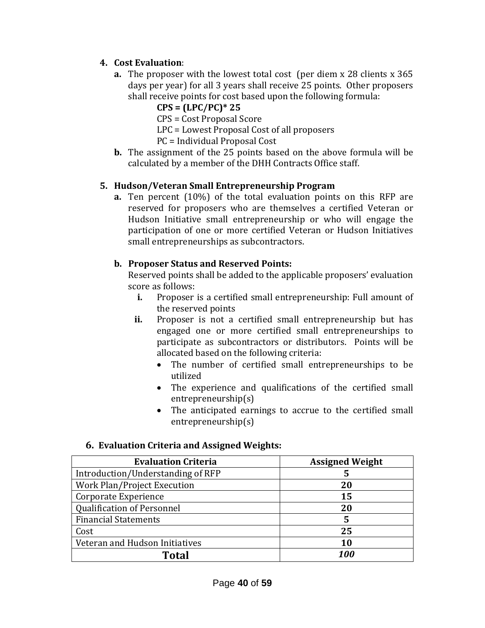### **4. Cost Evaluation**:

- **a.** The proposer with the lowest total cost (per diem x 28 clients x 365 days per year) for all 3 years shall receive 25 points. Other proposers shall receive points for cost based upon the following formula:
	- **CPS = (LPC/PC)\* 25**
	- CPS = Cost Proposal Score
	- LPC = Lowest Proposal Cost of all proposers
	- PC = Individual Proposal Cost
- **b.** The assignment of the 25 points based on the above formula will be calculated by a member of the DHH Contracts Office staff.

### **5. Hudson/Veteran Small Entrepreneurship Program**

**a.** Ten percent (10%) of the total evaluation points on this RFP are reserved for proposers who are themselves a certified Veteran or Hudson Initiative small entrepreneurship or who will engage the participation of one or more certified Veteran or Hudson Initiatives small entrepreneurships as subcontractors.

### **b. Proposer Status and Reserved Points:**

Reserved points shall be added to the applicable proposers' evaluation score as follows:

- **i.** Proposer is a certified small entrepreneurship: Full amount of the reserved points
- **ii.** Proposer is not a certified small entrepreneurship but has engaged one or more certified small entrepreneurships to participate as subcontractors or distributors. Points will be allocated based on the following criteria:
	- The number of certified small entrepreneurships to be utilized
	- The experience and qualifications of the certified small entrepreneurship(s)
	- The anticipated earnings to accrue to the certified small entrepreneurship(s)

#### **6. Evaluation Criteria and Assigned Weights:**

| <b>Evaluation Criteria</b>        | <b>Assigned Weight</b> |
|-----------------------------------|------------------------|
| Introduction/Understanding of RFP | 5                      |
| Work Plan/Project Execution       | 20                     |
| Corporate Experience              | 15                     |
| <b>Qualification of Personnel</b> | 20                     |
| <b>Financial Statements</b>       | 5                      |
| Cost                              | 25                     |
| Veteran and Hudson Initiatives    | 10                     |
| Total                             | 100                    |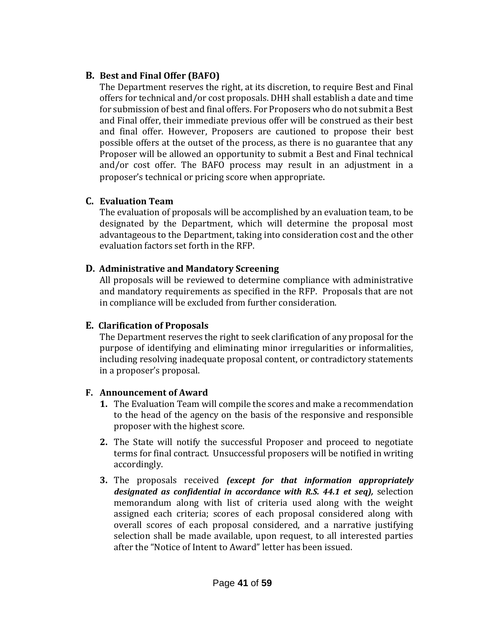#### **B. Best and Final Offer (BAFO)**

The Department reserves the right, at its discretion, to require Best and Final offers for technical and/or cost proposals. DHH shall establish a date and time for submission of best and final offers. For Proposers who do not submit a Best and Final offer, their immediate previous offer will be construed as their best and final offer. However, Proposers are cautioned to propose their best possible offers at the outset of the process, as there is no guarantee that any Proposer will be allowed an opportunity to submit a Best and Final technical and/or cost offer. The BAFO process may result in an adjustment in a proposer's technical or pricing score when appropriate.

### **C. Evaluation Team**

The evaluation of proposals will be accomplished by an evaluation team, to be designated by the Department, which will determine the proposal most advantageous to the Department, taking into consideration cost and the other evaluation factors set forth in the RFP.

### **D. Administrative and Mandatory Screening**

All proposals will be reviewed to determine compliance with administrative and mandatory requirements as specified in the RFP. Proposals that are not in compliance will be excluded from further consideration.

### **E. Clarification of Proposals**

The Department reserves the right to seek clarification of any proposal for the purpose of identifying and eliminating minor irregularities or informalities, including resolving inadequate proposal content, or contradictory statements in a proposer's proposal.

### **F. Announcement of Award**

- **1.** The Evaluation Team will compile the scores and make a recommendation to the head of the agency on the basis of the responsive and responsible proposer with the highest score.
- **2.** The State will notify the successful Proposer and proceed to negotiate terms for final contract. Unsuccessful proposers will be notified in writing accordingly.
- **3.** The proposals received *(except for that information appropriately designated as confidential in accordance with R.S. 44.1 et seq),* selection memorandum along with list of criteria used along with the weight assigned each criteria; scores of each proposal considered along with overall scores of each proposal considered, and a narrative justifying selection shall be made available, upon request, to all interested parties after the "Notice of Intent to Award" letter has been issued.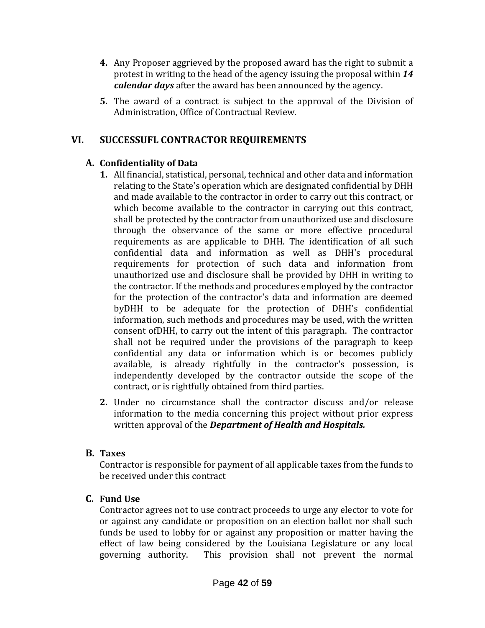- **4.** Any Proposer aggrieved by the proposed award has the right to submit a protest in writing to the head of the agency issuing the proposal within *14 calendar days* after the award has been announced by the agency.
- **5.** The award of a contract is subject to the approval of the Division of Administration, Office of Contractual Review.

### **VI. SUCCESSUFL CONTRACTOR REQUIREMENTS**

### **A. Confidentiality of Data**

- **1.** All financial, statistical, personal, technical and other data and information relating to the State's operation which are designated confidential by DHH and made available to the contractor in order to carry out this contract, or which become available to the contractor in carrying out this contract, shall be protected by the contractor from unauthorized use and disclosure through the observance of the same or more effective procedural requirements as are applicable to DHH. The identification of all such confidential data and information as well as DHH's procedural requirements for protection of such data and information from unauthorized use and disclosure shall be provided by DHH in writing to the contractor. If the methods and procedures employed by the contractor for the protection of the contractor's data and information are deemed byDHH to be adequate for the protection of DHH's confidential information, such methods and procedures may be used, with the written consent ofDHH, to carry out the intent of this paragraph. The contractor shall not be required under the provisions of the paragraph to keep confidential any data or information which is or becomes publicly available, is already rightfully in the contractor's possession, is independently developed by the contractor outside the scope of the contract, or is rightfully obtained from third parties.
- **2.** Under no circumstance shall the contractor discuss and/or release information to the media concerning this project without prior express written approval of the *Department of Health and Hospitals.*

#### **B. Taxes**

Contractor is responsible for payment of all applicable taxes from the funds to be received under this contract

#### **C. Fund Use**

Contractor agrees not to use contract proceeds to urge any elector to vote for or against any candidate or proposition on an election ballot nor shall such funds be used to lobby for or against any proposition or matter having the effect of law being considered by the Louisiana Legislature or any local governing authority. This provision shall not prevent the normal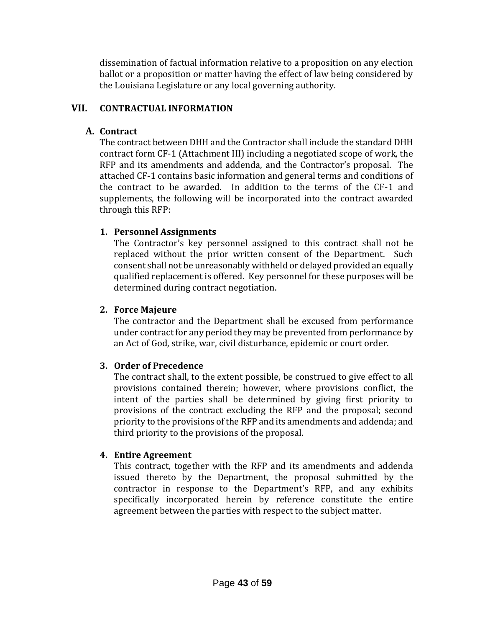dissemination of factual information relative to a proposition on any election ballot or a proposition or matter having the effect of law being considered by the Louisiana Legislature or any local governing authority.

### **VII. CONTRACTUAL INFORMATION**

### **A. Contract**

The contract between DHH and the Contractor shall include the standard DHH contract form CF-1 (Attachment III) including a negotiated scope of work, the RFP and its amendments and addenda, and the Contractor's proposal. The attached CF-1 contains basic information and general terms and conditions of the contract to be awarded. In addition to the terms of the CF-1 and supplements, the following will be incorporated into the contract awarded through this RFP:

### **1. Personnel Assignments**

The Contractor's key personnel assigned to this contract shall not be replaced without the prior written consent of the Department. Such consent shall not be unreasonably withheld or delayed provided an equally qualified replacement is offered. Key personnel for these purposes will be determined during contract negotiation.

### **2. Force Majeure**

The contractor and the Department shall be excused from performance under contract for any period they may be prevented from performance by an Act of God, strike, war, civil disturbance, epidemic or court order.

### **3. Order of Precedence**

The contract shall, to the extent possible, be construed to give effect to all provisions contained therein; however, where provisions conflict, the intent of the parties shall be determined by giving first priority to provisions of the contract excluding the RFP and the proposal; second priority to the provisions of the RFP and its amendments and addenda; and third priority to the provisions of the proposal.

### **4. Entire Agreement**

This contract, together with the RFP and its amendments and addenda issued thereto by the Department, the proposal submitted by the contractor in response to the Department's RFP, and any exhibits specifically incorporated herein by reference constitute the entire agreement between the parties with respect to the subject matter.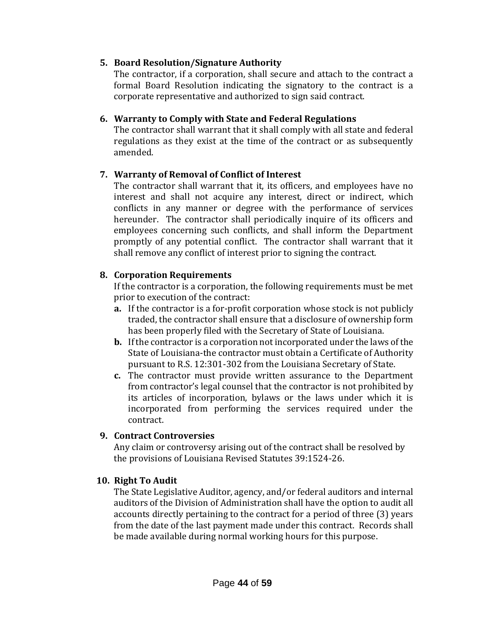#### **5. Board Resolution/Signature Authority**

The contractor, if a corporation, shall secure and attach to the contract a formal Board Resolution indicating the signatory to the contract is a corporate representative and authorized to sign said contract.

#### **6. Warranty to Comply with State and Federal Regulations**

The contractor shall warrant that it shall comply with all state and federal regulations as they exist at the time of the contract or as subsequently amended.

### **7. Warranty of Removal of Conflict of Interest**

The contractor shall warrant that it, its officers, and employees have no interest and shall not acquire any interest, direct or indirect, which conflicts in any manner or degree with the performance of services hereunder. The contractor shall periodically inquire of its officers and employees concerning such conflicts, and shall inform the Department promptly of any potential conflict. The contractor shall warrant that it shall remove any conflict of interest prior to signing the contract.

#### **8. Corporation Requirements**

If the contractor is a corporation, the following requirements must be met prior to execution of the contract:

- **a.** If the contractor is a for-profit corporation whose stock is not publicly traded, the contractor shall ensure that a disclosure of ownership form has been properly filed with the Secretary of State of Louisiana.
- **b.** If the contractor is a corporation not incorporated under the laws of the State of Louisiana-the contractor must obtain a Certificate of Authority pursuant to R.S. 12:301-302 from the Louisiana Secretary of State.
- **c.** The contractor must provide written assurance to the Department from contractor's legal counsel that the contractor is not prohibited by its articles of incorporation, bylaws or the laws under which it is incorporated from performing the services required under the contract.

#### **9. Contract Controversies**

Any claim or controversy arising out of the contract shall be resolved by the provisions of Louisiana Revised Statutes 39:1524-26.

#### **10. Right To Audit**

The State Legislative Auditor, agency, and/or federal auditors and internal auditors of the Division of Administration shall have the option to audit all accounts directly pertaining to the contract for a period of three (3) years from the date of the last payment made under this contract. Records shall be made available during normal working hours for this purpose.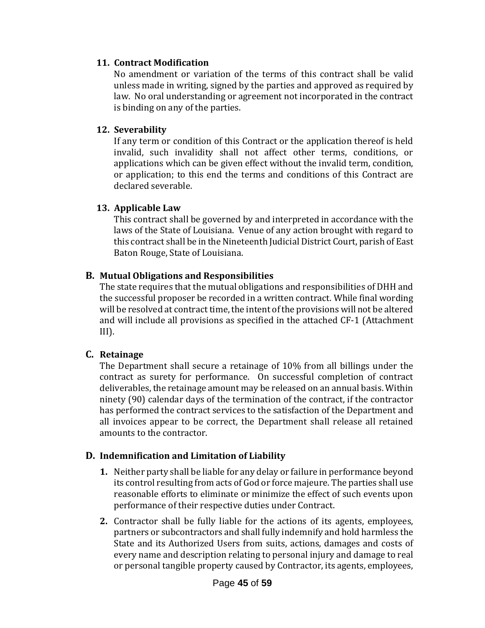#### **11. Contract Modification**

No amendment or variation of the terms of this contract shall be valid unless made in writing, signed by the parties and approved as required by law. No oral understanding or agreement not incorporated in the contract is binding on any of the parties.

#### **12. Severability**

If any term or condition of this Contract or the application thereof is held invalid, such invalidity shall not affect other terms, conditions, or applications which can be given effect without the invalid term, condition, or application; to this end the terms and conditions of this Contract are declared severable.

#### **13. Applicable Law**

This contract shall be governed by and interpreted in accordance with the laws of the State of Louisiana. Venue of any action brought with regard to this contract shall be in the Nineteenth Judicial District Court, parish of East Baton Rouge, State of Louisiana.

#### **B. Mutual Obligations and Responsibilities**

The state requires that the mutual obligations and responsibilities of DHH and the successful proposer be recorded in a written contract. While final wording will be resolved at contract time, the intent of the provisions will not be altered and will include all provisions as specified in the attached CF-1 (Attachment  $III$ ).

#### **C. Retainage**

The Department shall secure a retainage of 10% from all billings under the contract as surety for performance. On successful completion of contract deliverables, the retainage amount may be released on an annual basis. Within ninety (90) calendar days of the termination of the contract, if the contractor has performed the contract services to the satisfaction of the Department and all invoices appear to be correct, the Department shall release all retained amounts to the contractor.

#### **D. Indemnification and Limitation of Liability**

- **1.** Neither party shall be liable for any delay or failure in performance beyond its control resulting from acts of God or force majeure. The parties shall use reasonable efforts to eliminate or minimize the effect of such events upon performance of their respective duties under Contract.
- **2.** Contractor shall be fully liable for the actions of its agents, employees, partners or subcontractors and shall fully indemnify and hold harmless the State and its Authorized Users from suits, actions, damages and costs of every name and description relating to personal injury and damage to real or personal tangible property caused by Contractor, its agents, employees,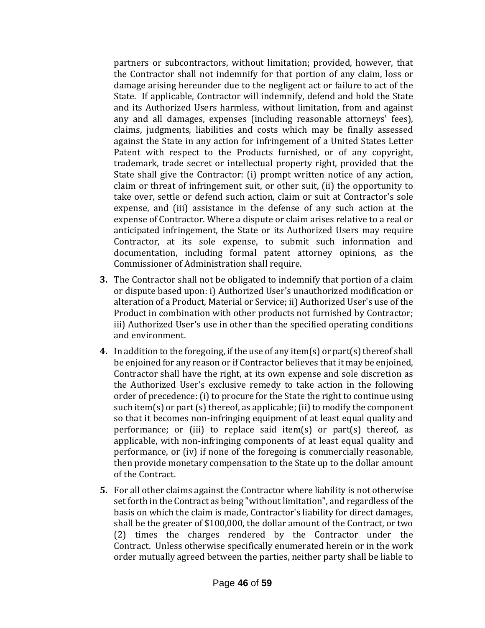partners or subcontractors, without limitation; provided, however, that the Contractor shall not indemnify for that portion of any claim, loss or damage arising hereunder due to the negligent act or failure to act of the State. If applicable, Contractor will indemnify, defend and hold the State and its Authorized Users harmless, without limitation, from and against any and all damages, expenses (including reasonable attorneys' fees), claims, judgments, liabilities and costs which may be finally assessed against the State in any action for infringement of a United States Letter Patent with respect to the Products furnished, or of any copyright, trademark, trade secret or intellectual property right, provided that the State shall give the Contractor: (i) prompt written notice of any action, claim or threat of infringement suit, or other suit, (ii) the opportunity to take over, settle or defend such action, claim or suit at Contractor's sole expense, and (iii) assistance in the defense of any such action at the expense of Contractor. Where a dispute or claim arises relative to a real or anticipated infringement, the State or its Authorized Users may require Contractor, at its sole expense, to submit such information and documentation, including formal patent attorney opinions, as the Commissioner of Administration shall require.

- **3.** The Contractor shall not be obligated to indemnify that portion of a claim or dispute based upon: i) Authorized User's unauthorized modification or alteration of a Product, Material or Service; ii) Authorized User's use of the Product in combination with other products not furnished by Contractor; iii) Authorized User's use in other than the specified operating conditions and environment.
- **4.** In addition to the foregoing, if the use of any item(s) or part(s) thereof shall be enjoined for any reason or if Contractor believes that it may be enjoined, Contractor shall have the right, at its own expense and sole discretion as the Authorized User's exclusive remedy to take action in the following order of precedence: (i) to procure for the State the right to continue using such item(s) or part (s) thereof, as applicable; (ii) to modify the component so that it becomes non-infringing equipment of at least equal quality and performance; or (iii) to replace said item(s) or part(s) thereof, as applicable, with non-infringing components of at least equal quality and performance, or (iv) if none of the foregoing is commercially reasonable, then provide monetary compensation to the State up to the dollar amount of the Contract.
- **5.** For all other claims against the Contractor where liability is not otherwise set forth in the Contract as being "without limitation", and regardless of the basis on which the claim is made, Contractor's liability for direct damages, shall be the greater of \$100,000, the dollar amount of the Contract, or two (2) times the charges rendered by the Contractor under the Contract. Unless otherwise specifically enumerated herein or in the work order mutually agreed between the parties, neither party shall be liable to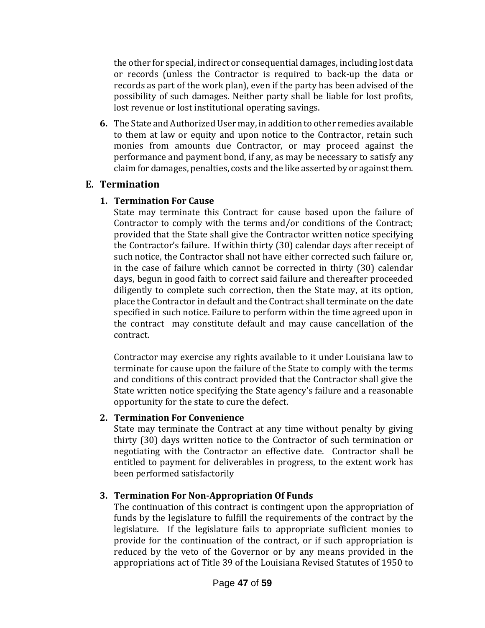the other for special, indirect or consequential damages, including lost data or records (unless the Contractor is required to back-up the data or records as part of the work plan), even if the party has been advised of the possibility of such damages. Neither party shall be liable for lost profits, lost revenue or lost institutional operating savings.

**6.** The State and Authorized User may, in addition to other remedies available to them at law or equity and upon notice to the Contractor, retain such monies from amounts due Contractor, or may proceed against the performance and payment bond, if any, as may be necessary to satisfy any claim for damages, penalties, costs and the like asserted by or against them.

### **E. Termination**

### **1. Termination For Cause**

State may terminate this Contract for cause based upon the failure of Contractor to comply with the terms and/or conditions of the Contract; provided that the State shall give the Contractor written notice specifying the Contractor's failure. If within thirty (30) calendar days after receipt of such notice, the Contractor shall not have either corrected such failure or, in the case of failure which cannot be corrected in thirty (30) calendar days, begun in good faith to correct said failure and thereafter proceeded diligently to complete such correction, then the State may, at its option, place the Contractor in default and the Contract shall terminate on the date specified in such notice. Failure to perform within the time agreed upon in the contract may constitute default and may cause cancellation of the contract.

Contractor may exercise any rights available to it under Louisiana law to terminate for cause upon the failure of the State to comply with the terms and conditions of this contract provided that the Contractor shall give the State written notice specifying the State agency's failure and a reasonable opportunity for the state to cure the defect.

### **2. Termination For Convenience**

State may terminate the Contract at any time without penalty by giving thirty (30) days written notice to the Contractor of such termination or negotiating with the Contractor an effective date. Contractor shall be entitled to payment for deliverables in progress, to the extent work has been performed satisfactorily

### **3. Termination For Non-Appropriation Of Funds**

The continuation of this contract is contingent upon the appropriation of funds by the legislature to fulfill the requirements of the contract by the legislature. If the legislature fails to appropriate sufficient monies to provide for the continuation of the contract, or if such appropriation is reduced by the veto of the Governor or by any means provided in the appropriations act of Title 39 of the Louisiana Revised Statutes of 1950 to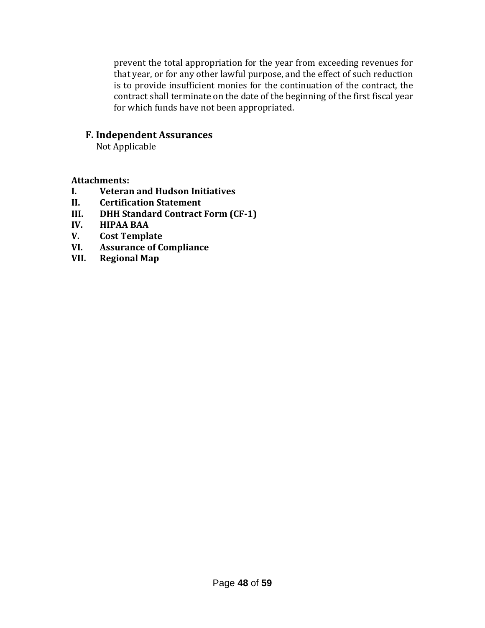prevent the total appropriation for the year from exceeding revenues for that year, or for any other lawful purpose, and the effect of such reduction is to provide insufficient monies for the continuation of the contract, the contract shall terminate on the date of the beginning of the first fiscal year for which funds have not been appropriated.

#### **F. Independent Assurances**

Not Applicable

#### **Attachments:**

- **I. Veteran and Hudson Initiatives**
- **II. Certification Statement**
- **III. DHH Standard Contract Form (CF-1)**
- **IV. HIPAA BAA**
- **V. Cost Template**
- **VI. Assurance of Compliance**
- **VII. Regional Map**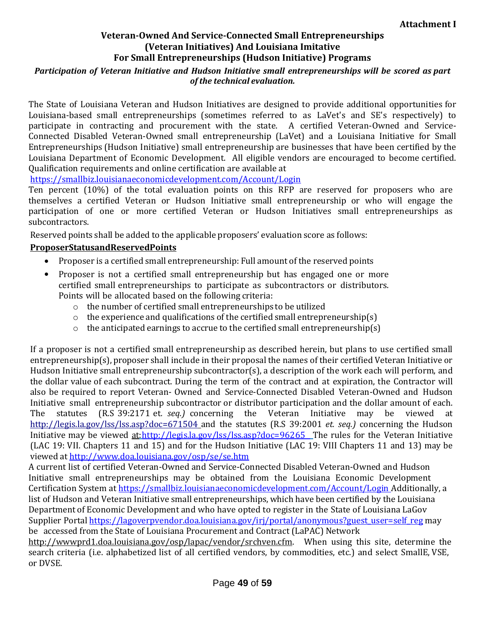## **Veteran-Owned And Service-Connected Small Entrepreneurships (Veteran Initiatives) And Louisiana Imitative For Small Entrepreneurships (Hudson Initiative) Programs**

#### *Participation of Veteran Initiative and Hudson Initiative small entrepreneurships will be scored as part of the technical evaluation.*

The State of Louisiana Veteran and Hudson Initiatives are designed to provide additional opportunities for Louisiana-based small entrepreneurships (sometimes referred to as LaVet's and SE's respectively) to participate in contracting and procurement with the state. A certified Veteran-Owned and Service-Connected Disabled Veteran-Owned small entrepreneurship (LaVet) and a Louisiana Initiative for Small Entrepreneurships (Hudson Initiative) small entrepreneurship are businesses that have been certified by the Louisiana Department of Economic Development. All eligible vendors are encouraged to become certified. Qualification requirements and online certification are available at

<https://smallbiz.louisianaeconomicdevelopment.com/Account/Login>

Ten percent (10%) of the total evaluation points on this RFP are reserved for proposers who are themselves a certified Veteran or Hudson Initiative small entrepreneurship or who will engage the participation of one or more certified Veteran or Hudson Initiatives small entrepreneurships as subcontractors.

Reserved points shall be added to the applicable proposers' evaluation score as follows:

#### **ProposerStatusandReservedPoints**

- Proposer is a certified small entrepreneurship: Full amount of the reserved points
- Proposer is not a certified small entrepreneurship but has engaged one or more certified small entrepreneurships to participate as subcontractors or distributors. Points will be allocated based on the following criteria:
	- $\circ$  the number of certified small entrepreneurships to be utilized
	- $\circ$  the experience and qualifications of the certified small entrepreneurship(s)
	- $\circ$  the anticipated earnings to accrue to the certified small entrepreneurship(s)

If a proposer is not a certified small entrepreneurship as described herein, but plans to use certified small entrepreneurship(s), proposer shall include in their proposal the names of their certified Veteran Initiative or Hudson Initiative small entrepreneurship subcontractor(s), a description of the work each will perform, and the dollar value of each subcontract. During the term of the contract and at expiration, the Contractor will also be required to report Veteran- Owned and Service-Connected Disabled Veteran-Owned and Hudson Initiative small entrepreneurship subcontractor or distributor participation and the dollar amount of each. The statutes (R.S 39:2171 et*. seq.)* concerning the Veteran Initiative may be viewed at <http://legis.la.gov/lss/lss.asp?doc=671504> and the statutes (R.S 39:2001 *et. seq.)* concerning the Hudson Initiative may be viewed at[:http://legis.la.gov/lss/lss.asp?doc=96265](http://legis.la.gov/lss/lss.asp?doc=96265%20) The rules for the Veteran Initiative (LAC 19: VII. Chapters 11 and 15) and for the Hudson Initiative (LAC 19: VIII Chapters 11 and 13) may be viewed at<http://www.doa.louisiana.gov/osp/se/se.htm>

A current list of certified Veteran-Owned and Service-Connected Disabled Veteran-Owned and Hudson Initiative small entrepreneurships may be obtained from the Louisiana Economic Development Certification System at <https://smallbiz.louisianaeconomicdevelopment.com/Account/Login> Additionally, a list of Hudson and Veteran Initiative small entrepreneurships, which have been certified by the Louisiana Department of Economic Development and who have opted to register in the State of Louisiana LaGov Supplier Portal [https://lagoverpvendor.doa.louisiana.gov/irj/portal/anonymous?guest\\_user=self\\_reg](https://lagoverpvendor.doa.louisiana.gov/irj/portal/anonymous?guest_user=self_reg) may be accessed from the State of Louisiana Procurement and Contract (LaPAC) Network

[http://wwwprd1.doa.louisiana.gov/osp/lapac/vendor/srchven.cfm.](http://wwwprd1.doa.louisiana.gov/osp/lapac/Vendor/srchven.cfm) When using this site, determine the search criteria (i.e. alphabetized list of all certified vendors, by commodities, etc.) and select SmallE, VSE, or DVSE.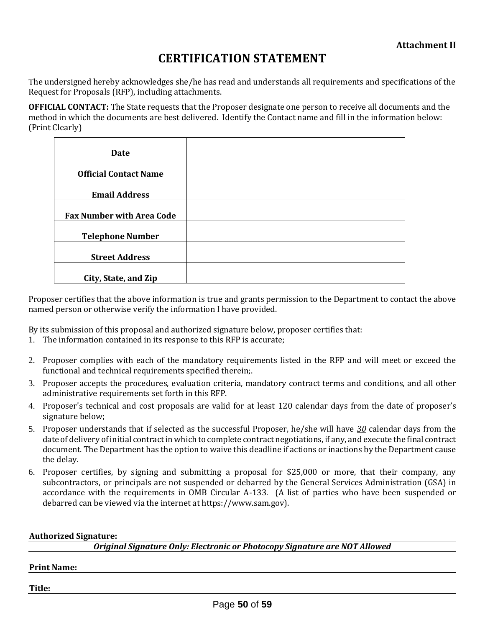# **CERTIFICATION STATEMENT**

The undersigned hereby acknowledges she/he has read and understands all requirements and specifications of the Request for Proposals (RFP), including attachments.

**OFFICIAL CONTACT:** The State requests that the Proposer designate one person to receive all documents and the method in which the documents are best delivered. Identify the Contact name and fill in the information below: (Print Clearly)

| Date                             |  |
|----------------------------------|--|
|                                  |  |
| <b>Official Contact Name</b>     |  |
|                                  |  |
| <b>Email Address</b>             |  |
| <b>Fax Number with Area Code</b> |  |
| <b>Telephone Number</b>          |  |
| <b>Street Address</b>            |  |
| City, State, and Zip             |  |

Proposer certifies that the above information is true and grants permission to the Department to contact the above named person or otherwise verify the information I have provided.

By its submission of this proposal and authorized signature below, proposer certifies that:

- 1. The information contained in its response to this RFP is accurate;
- 2. Proposer complies with each of the mandatory requirements listed in the RFP and will meet or exceed the functional and technical requirements specified therein;.
- 3. Proposer accepts the procedures, evaluation criteria, mandatory contract terms and conditions, and all other administrative requirements set forth in this RFP.
- 4. Proposer's technical and cost proposals are valid for at least 120 calendar days from the date of proposer's signature below;
- 5. Proposer understands that if selected as the successful Proposer, he/she will have *30* calendar days from the date of delivery of initial contract in which to complete contract negotiations, if any, and execute the final contract document. The Department has the option to waive this deadline if actions or inactions by the Department cause the delay.
- 6. Proposer certifies, by signing and submitting a proposal for \$25,000 or more, that their company, any subcontractors, or principals are not suspended or debarred by the General Services Administration (GSA) in accordance with the requirements in OMB Circular A-133. (A list of parties who have been suspended or debarred can be viewed via the internet at https://www.sam.gov).

#### **Authorized Signature:**

*Original Signature Only: Electronic or Photocopy Signature are NOT Allowed*

#### **Print Name:**

**Title:**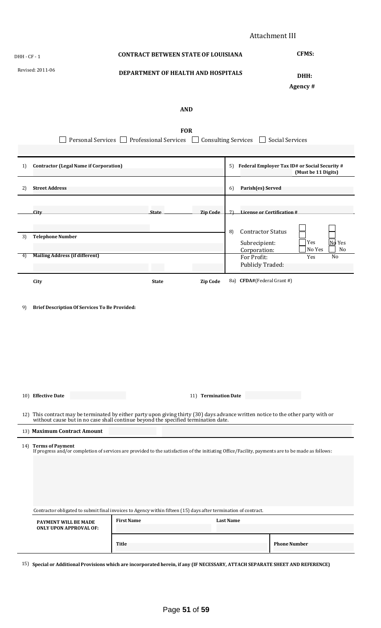| DHH - CF - 1     |                                                                                                                 | <b>CONTRACT BETWEEN STATE OF LOUISIANA</b> |                                    | <b>CFMS:</b>                                                                                                                                                                                                          |
|------------------|-----------------------------------------------------------------------------------------------------------------|--------------------------------------------|------------------------------------|-----------------------------------------------------------------------------------------------------------------------------------------------------------------------------------------------------------------------|
| Revised: 2011-06 |                                                                                                                 |                                            | DEPARTMENT OF HEALTH AND HOSPITALS |                                                                                                                                                                                                                       |
|                  |                                                                                                                 |                                            | <b>AND</b>                         |                                                                                                                                                                                                                       |
|                  | Personal Services                                                                                               | <b>Professional Services</b>               | <b>FOR</b>                         | <b>Consulting Services</b><br><b>Social Services</b>                                                                                                                                                                  |
| 1)               | <b>Contractor (Legal Name if Corporation)</b>                                                                   |                                            |                                    | Federal Employer Tax ID# or Social Security #<br>5)<br>(Must be 11 Digits)                                                                                                                                            |
| 2)               | <b>Street Address</b>                                                                                           |                                            |                                    | Parish(es) Served<br>6)                                                                                                                                                                                               |
|                  | <b>City</b>                                                                                                     | <b>State</b>                               | <b>Zip Code</b>                    | License or Certification #<br>7)                                                                                                                                                                                      |
| 3)               | <b>Telephone Number</b>                                                                                         |                                            |                                    | <b>Contractor Status</b><br>8)<br>$N_0$ Yes<br>Yes<br>Subrecipient:<br>No Yes<br>Corporation:<br>No                                                                                                                   |
| 4)               | <b>Mailing Address (if different)</b>                                                                           |                                            |                                    | For Profit:<br>No<br>Yes<br>Publicly Traded:                                                                                                                                                                          |
|                  |                                                                                                                 |                                            |                                    |                                                                                                                                                                                                                       |
| 9)               | City<br><b>Brief Description Of Services To Be Provided:</b>                                                    | <b>State</b>                               | <b>Zip Code</b>                    | 8a) CFDA#(Federal Grant #)                                                                                                                                                                                            |
|                  |                                                                                                                 |                                            |                                    |                                                                                                                                                                                                                       |
|                  | 10) Effective Date                                                                                              |                                            | 11) Termination Date               |                                                                                                                                                                                                                       |
|                  |                                                                                                                 |                                            |                                    |                                                                                                                                                                                                                       |
|                  | 13) Maximum Contract Amount                                                                                     |                                            |                                    | 12) This contract may be terminated by either party upon giving thirty (30) days advance written notice to the other party with or without cause but in no case shall continue beyond the specified termination date. |
|                  | 14) Terms of Payment                                                                                            |                                            |                                    | If progress and/or completion of services are provided to the satisfaction of the initiating Office/Facility, payments are to be made as follows:                                                                     |
|                  | Contractor obligated to submit final invoices to Agency within fifteen (15) days after termination of contract. |                                            |                                    |                                                                                                                                                                                                                       |
|                  | PAYMENT WILL BE MADE<br><b>ONLY UPON APPROVAL OF:</b>                                                           | <b>First Name</b><br>Title                 |                                    | <b>Last Name</b><br><b>Phone Number</b>                                                                                                                                                                               |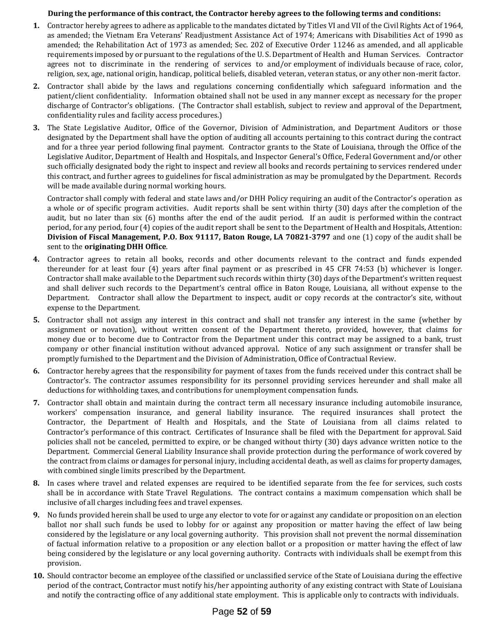#### **During the performance of this contract, the Contractor hereby agrees to the following terms and conditions:**

- **1.** Contractor hereby agrees to adhere as applicable to the mandates dictated by Titles VI and VII of the Civil Rights Act of 1964, as amended; the Vietnam Era Veterans' Readjustment Assistance Act of 1974; Americans with Disabilities Act of 1990 as amended; the Rehabilitation Act of 1973 as amended; Sec. 202 of Executive Order 11246 as amended, and all applicable requirements imposed by or pursuant to the regulations of the U. S. Department of Health and Human Services. Contractor agrees not to discriminate in the rendering of services to and/or employment of individuals because of race, color, religion, sex, age, national origin, handicap, political beliefs, disabled veteran, veteran status, or any other non-merit factor.
- **2.** Contractor shall abide by the laws and regulations concerning confidentially which safeguard information and the patient/client confidentiality. Information obtained shall not be used in any manner except as necessary for the proper discharge of Contractor's obligations. (The Contractor shall establish, subject to review and approval of the Department, confidentiality rules and facility access procedures.)
- **3.** The State Legislative Auditor, Office of the Governor, Division of Administration, and Department Auditors or those designated by the Department shall have the option of auditing all accounts pertaining to this contract during the contract and for a three year period following final payment. Contractor grants to the State of Louisiana, through the Office of the Legislative Auditor, Department of Health and Hospitals, and Inspector General's Office, Federal Government and/or other such officially designated body the right to inspect and review all books and records pertaining to services rendered under this contract, and further agrees to guidelines for fiscal administration as may be promulgated by the Department. Records will be made available during normal working hours.

Contractor shall comply with federal and state laws and/or DHH Policy requiring an audit of the Contractor's operation as a whole or of specific program activities. Audit reports shall be sent within thirty (30) days after the completion of the audit, but no later than six (6) months after the end of the audit period. If an audit is performed within the contract period, for any period, four (4) copies of the audit report shall be sent to the Department of Health and Hospitals, Attention: **Division of Fiscal Management, P.O. Box 91117, Baton Rouge, LA 70821-3797** and one (1) copy of the audit shall be sent to the **originating DHH Office**.

- **4.** Contractor agrees to retain all books, records and other documents relevant to the contract and funds expended thereunder for at least four (4) years after final payment or as prescribed in 45 CFR 74:53 (b) whichever is longer. Contractor shall make available to the Department such records within thirty (30) days of the Department's written request and shall deliver such records to the Department's central office in Baton Rouge, Louisiana, all without expense to the Department. Contractor shall allow the Department to inspect, audit or copy records at the contractor's site, without expense to the Department.
- **5.** Contractor shall not assign any interest in this contract and shall not transfer any interest in the same (whether by assignment or novation), without written consent of the Department thereto, provided, however, that claims for money due or to become due to Contractor from the Department under this contract may be assigned to a bank, trust company or other financial institution without advanced approval. Notice of any such assignment or transfer shall be promptly furnished to the Department and the Division of Administration, Office of Contractual Review.
- **6.** Contractor hereby agrees that the responsibility for payment of taxes from the funds received under this contract shall be Contractor's. The contractor assumes responsibility for its personnel providing services hereunder and shall make all deductions for withholding taxes, and contributions for unemployment compensation funds.
- **7.** Contractor shall obtain and maintain during the contract term all necessary insurance including automobile insurance, workers' compensation insurance, and general liability insurance. The required insurances shall protect the Contractor, the Department of Health and Hospitals, and the State of Louisiana from all claims related to Contractor's performance of this contract. Certificates of Insurance shall be filed with the Department for approval. Said policies shall not be canceled, permitted to expire, or be changed without thirty (30) days advance written notice to the Department. Commercial General Liability Insurance shall provide protection during the performance of work covered by the contract from claims or damages for personal injury, including accidental death, as well as claims for property damages, with combined single limits prescribed by the Department.
- **8.** In cases where travel and related expenses are required to be identified separate from the fee for services, such costs shall be in accordance with State Travel Regulations. The contract contains a maximum compensation which shall be inclusive of all charges including fees and travel expenses.
- **9.** No funds provided herein shall be used to urge any elector to vote for or against any candidate or proposition on an election ballot nor shall such funds be used to lobby for or against any proposition or matter having the effect of law being considered by the legislature or any local governing authority. This provision shall not prevent the normal dissemination of factual information relative to a proposition or any election ballot or a proposition or matter having the effect of law being considered by the legislature or any local governing authority. Contracts with individuals shall be exempt from this provision.
- **10.** Should contractor become an employee of the classified or unclassified service of the State of Louisiana during the effective period of the contract, Contractor must notify his/her appointing authority of any existing contract with State of Louisiana and notify the contracting office of any additional state employment. This is applicable only to contracts with individuals.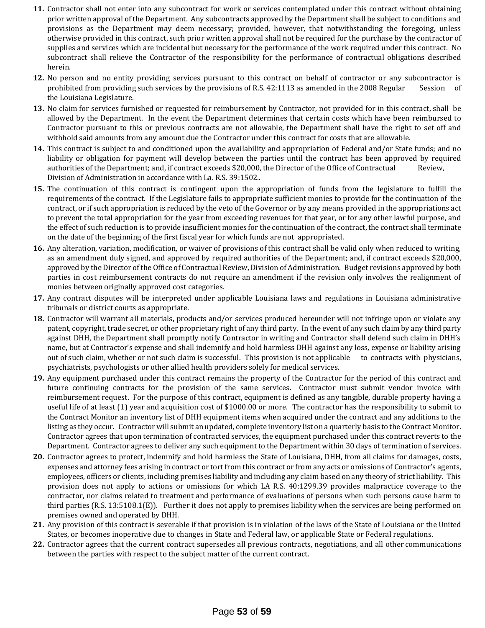- **11.** Contractor shall not enter into any subcontract for work or services contemplated under this contract without obtaining prior written approval of the Department. Any subcontracts approved by the Department shall be subject to conditions and provisions as the Department may deem necessary; provided, however, that notwithstanding the foregoing, unless otherwise provided in this contract, such prior written approval shall not be required for the purchase by the contractor of supplies and services which are incidental but necessary for the performance of the work required under this contract. No subcontract shall relieve the Contractor of the responsibility for the performance of contractual obligations described herein.
- **12.** No person and no entity providing services pursuant to this contract on behalf of contractor or any subcontractor is prohibited from providing such services by the provisions of R.S. 42:1113 as amended in the 2008 Regular Session of the Louisiana Legislature.
- **13.** No claim for services furnished or requested for reimbursement by Contractor, not provided for in this contract, shall be allowed by the Department. In the event the Department determines that certain costs which have been reimbursed to Contractor pursuant to this or previous contracts are not allowable, the Department shall have the right to set off and withhold said amounts from any amount due the Contractor under this contract for costs that are allowable.
- **14.** This contract is subject to and conditioned upon the availability and appropriation of Federal and/or State funds; and no liability or obligation for payment will develop between the parties until the contract has been approved by required authorities of the Department; and, if contract exceeds \$20,000, the Director of the Office of Contractual Review, Division of Administration in accordance with La. R.S. 39:1502..
- **15.** The continuation of this contract is contingent upon the appropriation of funds from the legislature to fulfill the requirements of the contract. If the Legislature fails to appropriate sufficient monies to provide for the continuation of the contract, or if such appropriation is reduced by the veto of the Governor or by any means provided in the appropriations act to prevent the total appropriation for the year from exceeding revenues for that year, or for any other lawful purpose, and the effect of such reduction is to provide insufficient monies for the continuation of the contract, the contract shall terminate on the date of the beginning of the first fiscal year for which funds are not appropriated.
- **16.** Any alteration, variation, modification, or waiver of provisions of this contract shall be valid only when reduced to writing, as an amendment duly signed, and approved by required authorities of the Department; and, if contract exceeds \$20,000, approved by the Director of the Office of Contractual Review, Division of Administration. Budget revisions approved by both parties in cost reimbursement contracts do not require an amendment if the revision only involves the realignment of monies between originally approved cost categories.
- **17.** Any contract disputes will be interpreted under applicable Louisiana laws and regulations in Louisiana administrative tribunals or district courts as appropriate.
- **18.** Contractor will warrant all materials, products and/or services produced hereunder will not infringe upon or violate any patent, copyright, trade secret, or other proprietary right of any third party. In the event of any such claim by any third party against DHH, the Department shall promptly notify Contractor in writing and Contractor shall defend such claim in DHH's name, but at Contractor's expense and shall indemnify and hold harmless DHH against any loss, expense or liability arising out of such claim, whether or not such claim is successful. This provision is not applicable to contracts with physicians, psychiatrists, psychologists or other allied health providers solely for medical services.
- **19.** Any equipment purchased under this contract remains the property of the Contractor for the period of this contract and future continuing contracts for the provision of the same services. Contractor must submit vendor invoice with reimbursement request. For the purpose of this contract, equipment is defined as any tangible, durable property having a useful life of at least (1) year and acquisition cost of \$1000.00 or more. The contractor has the responsibility to submit to the Contract Monitor an inventory list of DHH equipment items when acquired under the contract and any additions to the listing as they occur. Contractor will submit an updated, complete inventory list on a quarterly basis to the Contract Monitor. Contractor agrees that upon termination of contracted services, the equipment purchased under this contract reverts to the Department. Contractor agrees to deliver any such equipment to the Department within 30 days of termination of services.
- **20.** Contractor agrees to protect, indemnify and hold harmless the State of Louisiana, DHH, from all claims for damages, costs, expenses and attorney fees arising in contract or tort from this contract or from any acts or omissions of Contractor's agents, employees, officers or clients, including premises liability and including any claim based on any theory of strictliability. This provision does not apply to actions or omissions for which LA R.S. 40:1299.39 provides malpractice coverage to the contractor, nor claims related to treatment and performance of evaluations of persons when such persons cause harm to third parties (R.S. 13:5108.1(E)). Further it does not apply to premises liability when the services are being performed on premises owned and operated by DHH.
- **21.** Any provision of this contract is severable if that provision is in violation of the laws of the State of Louisiana or the United States, or becomes inoperative due to changes in State and Federal law, or applicable State or Federal regulations.
- **22.** Contractor agrees that the current contract supersedes all previous contracts, negotiations, and all other communications between the parties with respect to the subject matter of the current contract.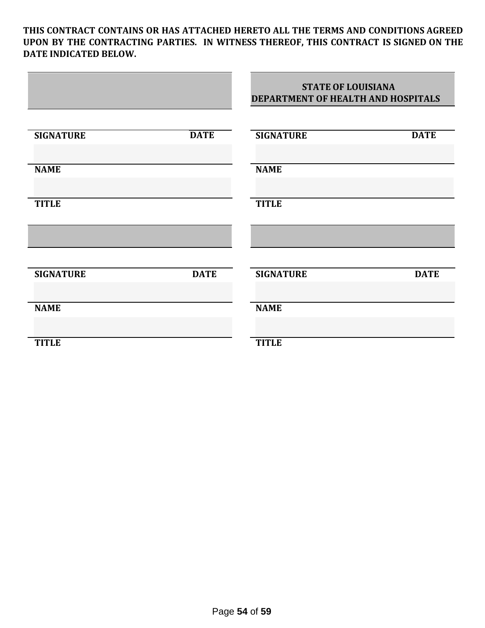**THIS CONTRACT CONTAINS OR HAS ATTACHED HERETO ALL THE TERMS AND CONDITIONS AGREED UPON BY THE CONTRACTING PARTIES. IN WITNESS THEREOF, THIS CONTRACT IS SIGNED ON THE DATE INDICATED BELOW.**

|                  |             | <b>STATE OF LOUISIANA</b><br>DEPARTMENT OF HEALTH AND HOSPITALS |             |
|------------------|-------------|-----------------------------------------------------------------|-------------|
| <b>SIGNATURE</b> | <b>DATE</b> | <b>SIGNATURE</b>                                                | <b>DATE</b> |
| <b>NAME</b>      |             | <b>NAME</b>                                                     |             |
| <b>TITLE</b>     |             | <b>TITLE</b>                                                    |             |
|                  |             |                                                                 |             |
| <b>SIGNATURE</b> | <b>DATE</b> | <b>SIGNATURE</b>                                                | <b>DATE</b> |
| <b>NAME</b>      |             | <b>NAME</b>                                                     |             |
| <b>TITLE</b>     |             | <b>TITLE</b>                                                    |             |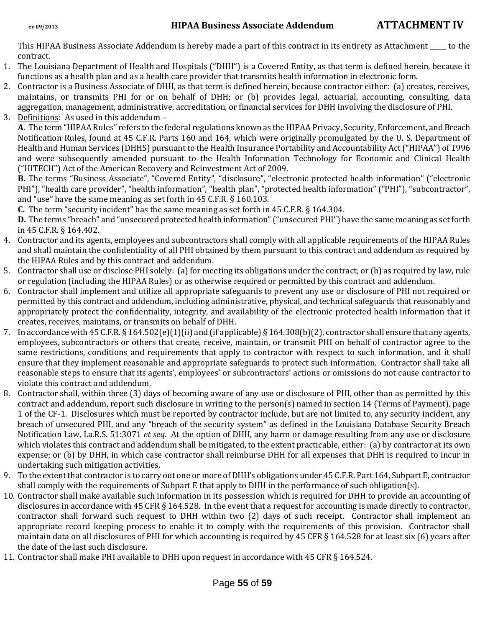This HIPAA Business Associate Addendum is hereby made a part of this contract in its entirety as Attachment \_\_\_\_\_ to the contract.

- 1. The Louisiana Department of Health and Hospitals ("DHH") is a Covered Entity, as that term is defined herein, because it functions as a health plan and as a health care provider that transmits health information in electronic form.
- 2. Contractor is a Business Associate of DHH, as that term is defined herein, because contractor either: (a) creates, receives, maintains, or transmits PHI for or on behalf of DHH; or (b) provides legal, actuarial, accounting, consulting, data aggregation, management, administrative, accreditation, or financial services for DHH involving the disclosure of PHI.
- 3. Definitions: As used in this addendum –

**A**. The term "HIPAA Rules" refers to the federal regulations known as the HIPAA Privacy, Security, Enforcement, and Breach Notification Rules, found at 45 C.F.R. Parts 160 and 164, which were originally promulgated by the U. S. Department of Health and Human Services (DHHS) pursuant to the Health Insurance Portability and Accountability Act ("HIPAA") of 1996 and were subsequently amended pursuant to the Health Information Technology for Economic and Clinical Health ("HITECH") Act of the American Recovery and Reinvestment Act of 2009.

**B.** The terms "Business Associate", "Covered Entity", "disclosure", "electronic protected health information" ("electronic PHI"), "health care provider", "health information", "health plan", "protected health information" ("PHI"), "subcontractor", and "use" have the same meaning as set forth in 45 C.F.R. § 160.103.

**C.** The term "security incident" has the same meaning as set forth in 45 C.F.R. § 164.304.

**D.** The terms "breach" and "unsecured protected health information" ("unsecured PHI") have the same meaning as set forth in 45 C.F.R. § 164.402.

- 4. Contractor and its agents, employees and subcontractors shall comply with all applicable requirements of the HIPAA Rules and shall maintain the confidentiality of all PHI obtained by them pursuant to this contract and addendum as required by the HIPAA Rules and by this contract and addendum.
- 5. Contractor shall use or disclose PHI solely: (a) for meeting its obligations under the contract; or (b) as required by law, rule or regulation (including the HIPAA Rules) or as otherwise required or permitted by this contract and addendum.
- 6. Contractor shall implement and utilize all appropriate safeguards to prevent any use or disclosure of PHI not required or permitted by this contract and addendum, including administrative, physical, and technical safeguards that reasonably and appropriately protect the confidentiality, integrity, and availability of the electronic protected health information that it creates, receives, maintains, or transmits on behalf of DHH.
- 7. In accordance with 45 C.F.R. § 164.502(e)(1)(ii) and (if applicable) § 164.308(b)(2), contractor shall ensure that any agents, employees, subcontractors or others that create, receive, maintain, or transmit PHI on behalf of contractor agree to the same restrictions, conditions and requirements that apply to contractor with respect to such information, and it shall ensure that they implement reasonable and appropriate safeguards to protect such information. Contractor shall take all reasonable steps to ensure that its agents', employees' or subcontractors' actions or omissions do not cause contractor to violate this contract and addendum.
- 8. Contractor shall, within three (3) days of becoming aware of any use or disclosure of PHI, other than as permitted by this contract and addendum, report such disclosure in writing to the person(s) named in section 14 (Terms of Payment), page 1 of the CF-1. Disclosures which must be reported by contractor include, but are not limited to, any security incident, any breach of unsecured PHI, and any "breach of the security system" as defined in the Louisiana Database Security Breach Notification Law, La.R.S. 51:3071 *et seq*. At the option of DHH, any harm or damage resulting from any use or disclosure which violates this contract and addendum shall be mitigated, to the extent practicable, either: (a) by contractor at its own expense; or (b) by DHH, in which case contractor shall reimburse DHH for all expenses that DHH is required to incur in undertaking such mitigation activities.
- 9. To the extent that contractor is to carry out one or more of DHH's obligations under 45 C.F.R. Part 164, Subpart E, contractor shall comply with the requirements of Subpart E that apply to DHH in the performance of such obligation(s).
- 10. Contractor shall make available such information in its possession which is required for DHH to provide an accounting of disclosures in accordance with 45 CFR § 164.528. In the event that a request for accounting is made directly to contractor, contractor shall forward such request to DHH within two (2) days of such receipt. Contractor shall implement an appropriate record keeping process to enable it to comply with the requirements of this provision. Contractor shall maintain data on all disclosures of PHI for which accounting is required by 45 CFR § 164.528 for at least six (6) years after the date of the last such disclosure.
- 11. Contractor shall make PHI available to DHH upon request in accordance with 45 CFR § 164.524.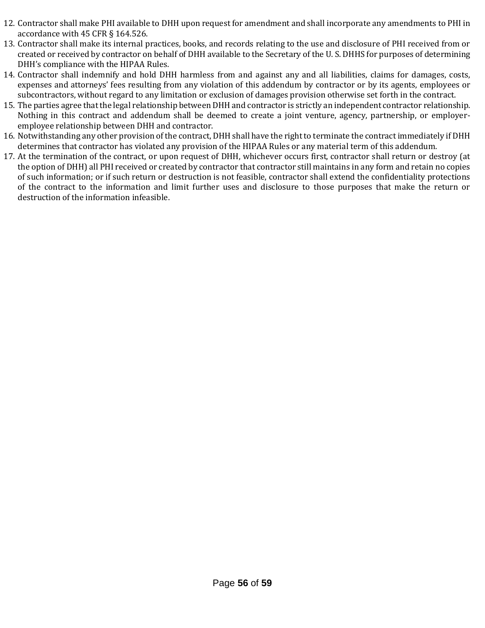- 12. Contractor shall make PHI available to DHH upon request for amendment and shall incorporate any amendments to PHI in accordance with 45 CFR § 164.526.
- 13. Contractor shall make its internal practices, books, and records relating to the use and disclosure of PHI received from or created or received by contractor on behalf of DHH available to the Secretary of the U. S. DHHS for purposes of determining DHH's compliance with the HIPAA Rules.
- 14. Contractor shall indemnify and hold DHH harmless from and against any and all liabilities, claims for damages, costs, expenses and attorneys' fees resulting from any violation of this addendum by contractor or by its agents, employees or subcontractors, without regard to any limitation or exclusion of damages provision otherwise set forth in the contract.
- 15. The parties agree that the legal relationship between DHH and contractor is strictly an independent contractor relationship. Nothing in this contract and addendum shall be deemed to create a joint venture, agency, partnership, or employeremployee relationship between DHH and contractor.
- 16. Notwithstanding any other provision of the contract, DHH shall have the right to terminate the contract immediately if DHH determines that contractor has violated any provision of the HIPAA Rules or any material term of this addendum.
- 17. At the termination of the contract, or upon request of DHH, whichever occurs first, contractor shall return or destroy (at the option of DHH) all PHI received or created by contractor that contractor still maintains in any form and retain no copies of such information; or if such return or destruction is not feasible, contractor shall extend the confidentiality protections of the contract to the information and limit further uses and disclosure to those purposes that make the return or destruction of the information infeasible.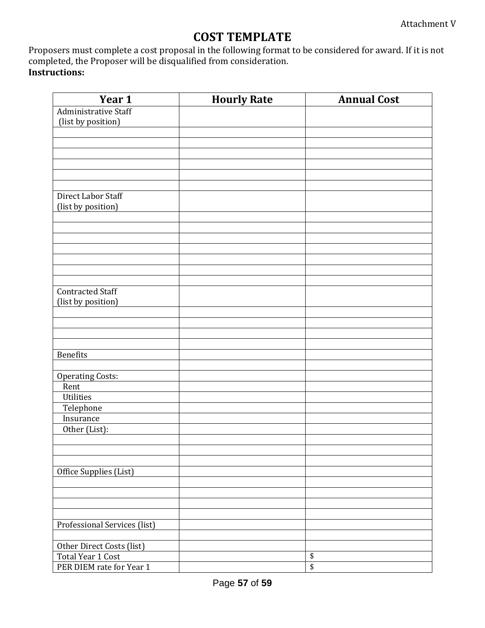# **COST TEMPLATE**

Proposers must complete a cost proposal in the following format to be considered for award. If it is not completed, the Proposer will be disqualified from consideration. **Instructions:**

| Year 1                       | <b>Hourly Rate</b> | <b>Annual Cost</b>                   |
|------------------------------|--------------------|--------------------------------------|
| Administrative Staff         |                    |                                      |
| (list by position)           |                    |                                      |
|                              |                    |                                      |
|                              |                    |                                      |
|                              |                    |                                      |
|                              |                    |                                      |
|                              |                    |                                      |
|                              |                    |                                      |
| Direct Labor Staff           |                    |                                      |
| (list by position)           |                    |                                      |
|                              |                    |                                      |
|                              |                    |                                      |
|                              |                    |                                      |
|                              |                    |                                      |
|                              |                    |                                      |
|                              |                    |                                      |
|                              |                    |                                      |
| <b>Contracted Staff</b>      |                    |                                      |
| (list by position)           |                    |                                      |
|                              |                    |                                      |
|                              |                    |                                      |
|                              |                    |                                      |
|                              |                    |                                      |
| <b>Benefits</b>              |                    |                                      |
|                              |                    |                                      |
| <b>Operating Costs:</b>      |                    |                                      |
| Rent                         |                    |                                      |
| Utilities                    |                    |                                      |
| Telephone                    |                    |                                      |
| Insurance                    |                    |                                      |
| Other (List):                |                    |                                      |
|                              |                    |                                      |
|                              |                    |                                      |
|                              |                    |                                      |
| Office Supplies (List)       |                    |                                      |
|                              |                    |                                      |
|                              |                    |                                      |
|                              |                    |                                      |
|                              |                    |                                      |
| Professional Services (list) |                    |                                      |
|                              |                    |                                      |
| Other Direct Costs (list)    |                    |                                      |
| Total Year 1 Cost            |                    | \$                                   |
| PER DIEM rate for Year 1     |                    | $\overline{\boldsymbol{\mathsf{S}}}$ |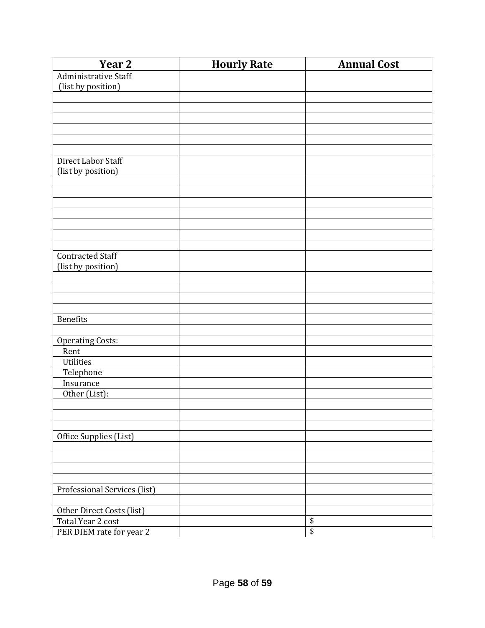| Year <sub>2</sub>            | <b>Hourly Rate</b> | <b>Annual Cost</b> |
|------------------------------|--------------------|--------------------|
| Administrative Staff         |                    |                    |
| (list by position)           |                    |                    |
|                              |                    |                    |
|                              |                    |                    |
|                              |                    |                    |
|                              |                    |                    |
|                              |                    |                    |
|                              |                    |                    |
| Direct Labor Staff           |                    |                    |
| (list by position)           |                    |                    |
|                              |                    |                    |
|                              |                    |                    |
|                              |                    |                    |
|                              |                    |                    |
|                              |                    |                    |
|                              |                    |                    |
|                              |                    |                    |
| <b>Contracted Staff</b>      |                    |                    |
| (list by position)           |                    |                    |
|                              |                    |                    |
|                              |                    |                    |
|                              |                    |                    |
|                              |                    |                    |
| <b>Benefits</b>              |                    |                    |
|                              |                    |                    |
| <b>Operating Costs:</b>      |                    |                    |
| Rent                         |                    |                    |
| Utilities                    |                    |                    |
| Telephone                    |                    |                    |
| Insurance                    |                    |                    |
| Other (List):                |                    |                    |
|                              |                    |                    |
|                              |                    |                    |
|                              |                    |                    |
| Office Supplies (List)       |                    |                    |
|                              |                    |                    |
|                              |                    |                    |
|                              |                    |                    |
|                              |                    |                    |
| Professional Services (list) |                    |                    |
|                              |                    |                    |
| Other Direct Costs (list)    |                    |                    |
| Total Year 2 cost            |                    | \$                 |
| PER DIEM rate for year 2     |                    | $\overline{\$}$    |